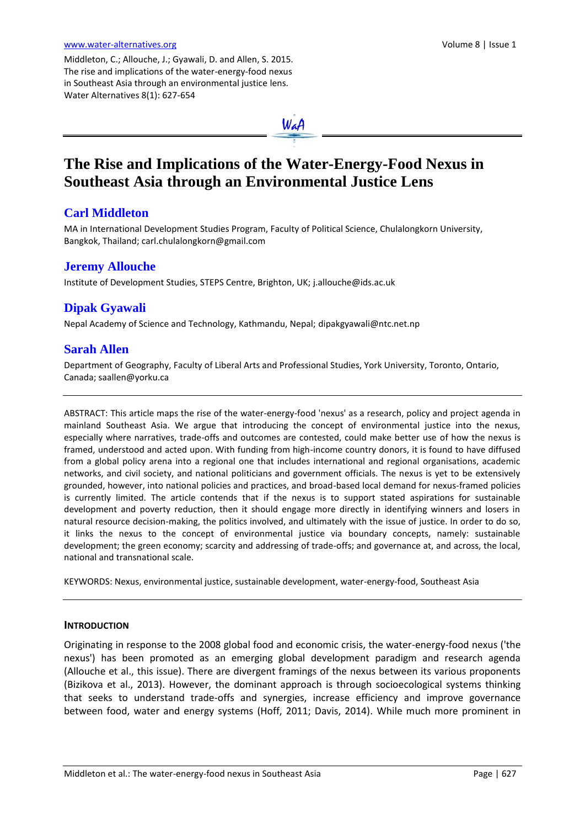Middleton, C.; Allouche, J.; Gyawali, D. and Allen, S. 2015. The rise and implications of the water-energy-food nexus in Southeast Asia through an environmental justice lens. Water Alternatives 8(1): 627-654

# **The Rise and Implications of the Water-Energy-Food Nexus in Southeast Asia through an Environmental Justice Lens**

### **Carl Middleton**

MA in International Development Studies Program, Faculty of Political Science, Chulalongkorn University, Bangkok, Thailand; carl.chulalongkorn@gmail.com

### **Jeremy Allouche**

Institute of Development Studies, STEPS Centre, Brighton, UK; [j.allouche@ids.ac.uk](mailto:j.allouche@ids.ac.uk)

## **Dipak Gyawali**

Nepal Academy of Science and Technology, Kathmandu, Nepal; [dipakgyawali@ntc.net.np](mailto:dipakgyawali@ntc.net.np)

### **Sarah Allen**

Department of Geography, Faculty of Liberal Arts and Professional Studies, York University, Toronto, Ontario, Canada; saallen@yorku.ca

ABSTRACT: This article maps the rise of the water-energy-food 'nexus' as a research, policy and project agenda in mainland Southeast Asia. We argue that introducing the concept of environmental justice into the nexus, especially where narratives, trade-offs and outcomes are contested, could make better use of how the nexus is framed, understood and acted upon. With funding from high-income country donors, it is found to have diffused from a global policy arena into a regional one that includes international and regional organisations, academic networks, and civil society, and national politicians and government officials. The nexus is yet to be extensively grounded, however, into national policies and practices, and broad-based local demand for nexus-framed policies is currently limited. The article contends that if the nexus is to support stated aspirations for sustainable development and poverty reduction, then it should engage more directly in identifying winners and losers in natural resource decision-making, the politics involved, and ultimately with the issue of justice. In order to do so, it links the nexus to the concept of environmental justice via boundary concepts, namely: sustainable development; the green economy; scarcity and addressing of trade-offs; and governance at, and across, the local, national and transnational scale.

KEYWORDS: Nexus, environmental justice, sustainable development, water-energy-food, Southeast Asia

#### **INTRODUCTION**

Originating in response to the 2008 global food and economic crisis, the water-energy-food nexus ('the nexus') has been promoted as an emerging global development paradigm and research agenda (Allouche et al., this issue). There are divergent framings of the nexus between its various proponents (Bizikova et al., 2013). However, the dominant approach is through socioecological systems thinking that seeks to understand trade-offs and synergies, increase efficiency and improve governance between food, water and energy systems (Hoff, 2011; Davis, 2014). While much more prominent in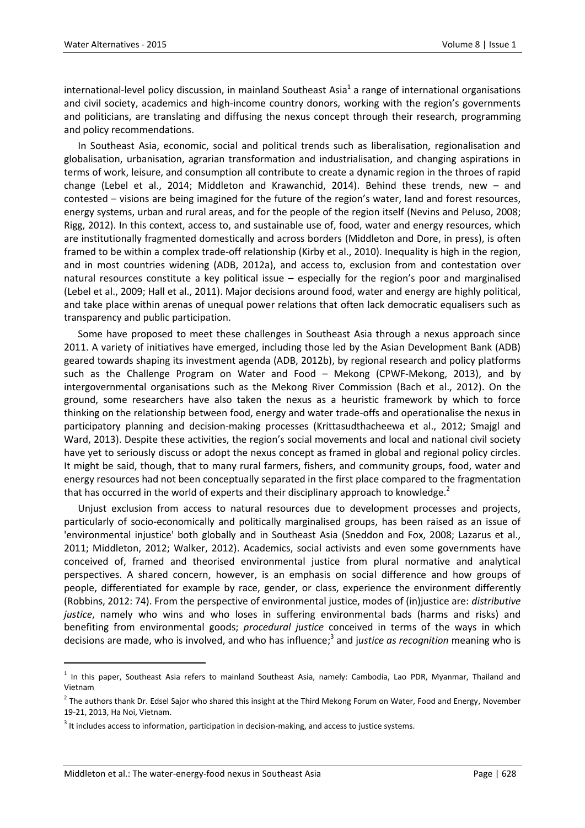international-level policy discussion, in mainland Southeast Asia<sup>1</sup> a range of international organisations and civil society, academics and high-income country donors, working with the region's governments and politicians, are translating and diffusing the nexus concept through their research, programming and policy recommendations.

In Southeast Asia, economic, social and political trends such as liberalisation, regionalisation and globalisation, urbanisation, agrarian transformation and industrialisation, and changing aspirations in terms of work, leisure, and consumption all contribute to create a dynamic region in the throes of rapid change (Lebel et al., 2014; Middleton and Krawanchid, 2014). Behind these trends, new – and contested – visions are being imagined for the future of the region's water, land and forest resources, energy systems, urban and rural areas, and for the people of the region itself (Nevins and Peluso, 2008; Rigg, 2012). In this context, access to, and sustainable use of, food, water and energy resources, which are institutionally fragmented domestically and across borders (Middleton and Dore, in press), is often framed to be within a complex trade-off relationship (Kirby et al., 2010). Inequality is high in the region, and in most countries widening (ADB, 2012a), and access to, exclusion from and contestation over natural resources constitute a key political issue – especially for the region's poor and marginalised (Lebel et al., 2009; Hall et al., 2011). Major decisions around food, water and energy are highly political, and take place within arenas of unequal power relations that often lack democratic equalisers such as transparency and public participation.

Some have proposed to meet these challenges in Southeast Asia through a nexus approach since 2011. A variety of initiatives have emerged, including those led by the Asian Development Bank (ADB) geared towards shaping its investment agenda (ADB, 2012b), by regional research and policy platforms such as the Challenge Program on Water and Food – Mekong (CPWF-Mekong, 2013), and by intergovernmental organisations such as the Mekong River Commission (Bach et al., 2012). On the ground, some researchers have also taken the nexus as a heuristic framework by which to force thinking on the relationship between food, energy and water trade-offs and operationalise the nexus in participatory planning and decision-making processes (Krittasudthacheewa et al., 2012; Smajgl and Ward, 2013). Despite these activities, the region's social movements and local and national civil society have yet to seriously discuss or adopt the nexus concept as framed in global and regional policy circles. It might be said, though, that to many rural farmers, fishers, and community groups, food, water and energy resources had not been conceptually separated in the first place compared to the fragmentation that has occurred in the world of experts and their disciplinary approach to knowledge.<sup>2</sup>

Unjust exclusion from access to natural resources due to development processes and projects, particularly of socio-economically and politically marginalised groups, has been raised as an issue of 'environmental injustice' both globally and in Southeast Asia (Sneddon and Fox, 2008; Lazarus et al., 2011; Middleton, 2012; Walker, 2012). Academics, social activists and even some governments have conceived of, framed and theorised environmental justice from plural normative and analytical perspectives. A shared concern, however, is an emphasis on social difference and how groups of people, differentiated for example by race, gender, or class, experience the environment differently (Robbins, 2012: 74). From the perspective of environmental justice, modes of (in)justice are: *distributive justice*, namely who wins and who loses in suffering environmental bads (harms and risks) and benefiting from environmental goods; *procedural justice* conceived in terms of the ways in which decisions are made, who is involved, and who has influence; 3 and j*ustice as recognition* meaning who is

<sup>&</sup>lt;sup>1</sup> In this paper, Southeast Asia refers to mainland Southeast Asia, namely: Cambodia, Lao PDR, Myanmar, Thailand and Vietnam

<sup>&</sup>lt;sup>2</sup> The authors thank Dr. Edsel Sajor who shared this insight at the Third Mekong Forum on Water, Food and Energy, November 19-21, 2013, Ha Noi, Vietnam.

 $3$  It includes access to information, participation in decision-making, and access to justice systems.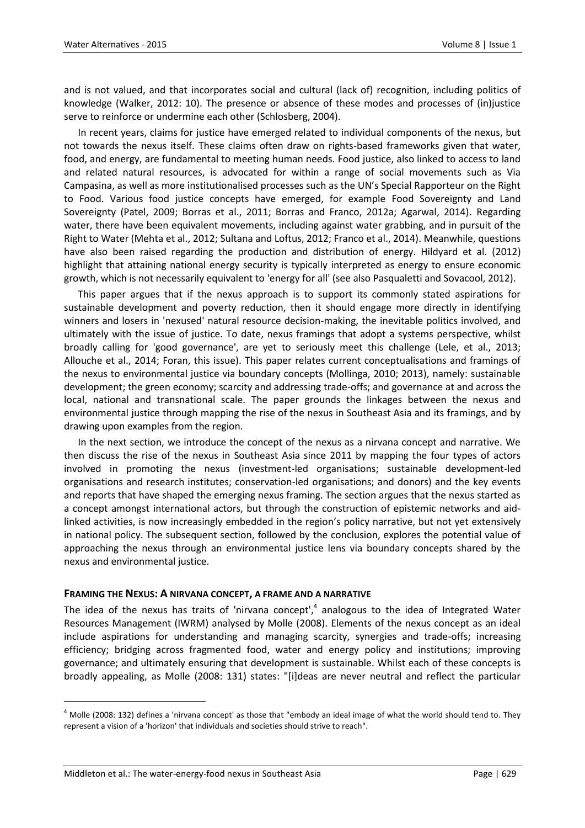and is not valued, and that incorporates social and cultural (lack of) recognition, including politics of knowledge (Walker, 2012: 10). The presence or absence of these modes and processes of (in)justice serve to reinforce or undermine each other (Schlosberg, 2004).

In recent years, claims for justice have emerged related to individual components of the nexus, but not towards the nexus itself. These claims often draw on rights-based frameworks given that water, food, and energy, are fundamental to meeting human needs. Food justice, also linked to access to land and related natural resources, is advocated for within a range of social movements such as Via Campasina, as well as more institutionalised processes such as the UN's Special Rapporteur on the Right to Food. Various food justice concepts have emerged, for example Food Sovereignty and Land Sovereignty (Patel, 2009; Borras et al., 2011; Borras and Franco, 2012a; Agarwal, 2014). Regarding water, there have been equivalent movements, including against water grabbing, and in pursuit of the Right to Water (Mehta et al., 2012; Sultana and Loftus, 2012; Franco et al., 2014). Meanwhile, questions have also been raised regarding the production and distribution of energy. Hildyard et al. (2012) highlight that attaining national energy security is typically interpreted as energy to ensure economic growth, which is not necessarily equivalent to 'energy for all' (see also Pasqualetti and Sovacool, 2012).

This paper argues that if the nexus approach is to support its commonly stated aspirations for sustainable development and poverty reduction, then it should engage more directly in identifying winners and losers in 'nexused' natural resource decision-making, the inevitable politics involved, and ultimately with the issue of justice. To date, nexus framings that adopt a systems perspective, whilst broadly calling for 'good governance', are yet to seriously meet this challenge (Lele, et al., 2013; Allouche et al., 2014; Foran, this issue). This paper relates current conceptualisations and framings of the nexus to environmental justice via boundary concepts (Mollinga, 2010; 2013), namely: sustainable development; the green economy; scarcity and addressing trade-offs; and governance at and across the local, national and transnational scale. The paper grounds the linkages between the nexus and environmental justice through mapping the rise of the nexus in Southeast Asia and its framings, and by drawing upon examples from the region.

In the next section, we introduce the concept of the nexus as a nirvana concept and narrative. We then discuss the rise of the nexus in Southeast Asia since 2011 by mapping the four types of actors involved in promoting the nexus (investment-led organisations; sustainable development-led organisations and research institutes; conservation-led organisations; and donors) and the key events and reports that have shaped the emerging nexus framing. The section argues that the nexus started as a concept amongst international actors, but through the construction of epistemic networks and aidlinked activities, is now increasingly embedded in the region's policy narrative, but not yet extensively in national policy. The subsequent section, followed by the conclusion, explores the potential value of approaching the nexus through an environmental justice lens via boundary concepts shared by the nexus and environmental justice.

#### **FRAMING THE NEXUS: A NIRVANA CONCEPT, A FRAME AND A NARRATIVE**

The idea of the nexus has traits of 'nirvana concept',<sup>4</sup> analogous to the idea of Integrated Water Resources Management (IWRM) analysed by Molle (2008). Elements of the nexus concept as an ideal include aspirations for understanding and managing scarcity, synergies and trade-offs; increasing efficiency; bridging across fragmented food, water and energy policy and institutions; improving governance; and ultimately ensuring that development is sustainable. Whilst each of these concepts is broadly appealing, as Molle (2008: 131) states: "[i]deas are never neutral and reflect the particular

 $^4$  Molle (2008: 132) defines a 'nirvana concept' as those that "embody an ideal image of what the world should tend to. They represent a vision of a 'horizon' that individuals and societies should strive to reach".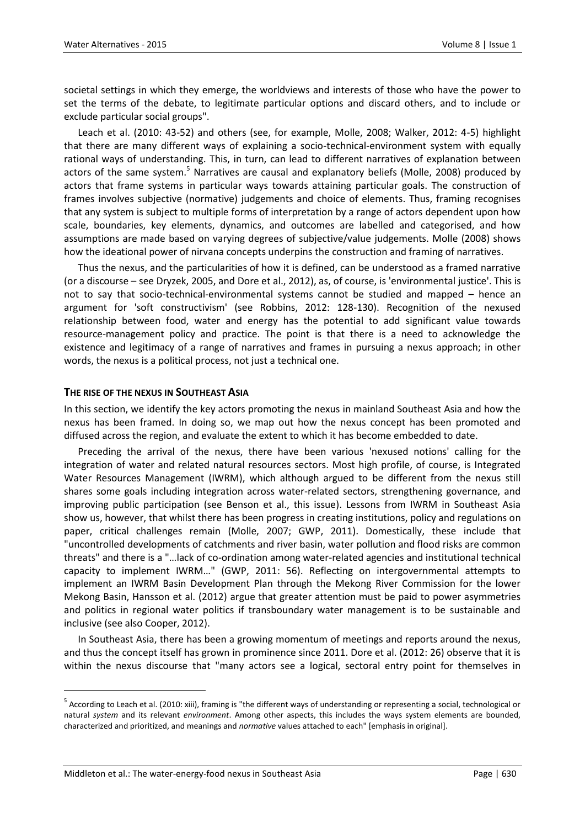societal settings in which they emerge, the worldviews and interests of those who have the power to set the terms of the debate, to legitimate particular options and discard others, and to include or exclude particular social groups".

Leach et al. (2010: 43-52) and others (see, for example, Molle, 2008; Walker, 2012: 4-5) highlight that there are many different ways of explaining a socio-technical-environment system with equally rational ways of understanding. This, in turn, can lead to different narratives of explanation between actors of the same system.<sup>5</sup> Narratives are causal and explanatory beliefs (Molle, 2008) produced by actors that frame systems in particular ways towards attaining particular goals. The construction of frames involves subjective (normative) judgements and choice of elements. Thus, framing recognises that any system is subject to multiple forms of interpretation by a range of actors dependent upon how scale, boundaries, key elements, dynamics, and outcomes are labelled and categorised, and how assumptions are made based on varying degrees of subjective/value judgements. Molle (2008) shows how the ideational power of nirvana concepts underpins the construction and framing of narratives.

Thus the nexus, and the particularities of how it is defined, can be understood as a framed narrative (or a discourse – see Dryzek, 2005, and Dore et al., 2012), as, of course, is 'environmental justice'. This is not to say that socio-technical-environmental systems cannot be studied and mapped – hence an argument for 'soft constructivism' (see Robbins, 2012: 128-130). Recognition of the nexused relationship between food, water and energy has the potential to add significant value towards resource-management policy and practice. The point is that there is a need to acknowledge the existence and legitimacy of a range of narratives and frames in pursuing a nexus approach; in other words, the nexus is a political process, not just a technical one.

#### **THE RISE OF THE NEXUS IN SOUTHEAST ASIA**

In this section, we identify the key actors promoting the nexus in mainland Southeast Asia and how the nexus has been framed. In doing so, we map out how the nexus concept has been promoted and diffused across the region, and evaluate the extent to which it has become embedded to date.

Preceding the arrival of the nexus, there have been various 'nexused notions' calling for the integration of water and related natural resources sectors. Most high profile, of course, is Integrated Water Resources Management (IWRM), which although argued to be different from the nexus still shares some goals including integration across water-related sectors, strengthening governance, and improving public participation (see Benson et al., this issue). Lessons from IWRM in Southeast Asia show us, however, that whilst there has been progress in creating institutions, policy and regulations on paper, critical challenges remain (Molle, 2007; GWP, 2011). Domestically, these include that "uncontrolled developments of catchments and river basin, water pollution and flood risks are common threats" and there is a "…lack of co-ordination among water-related agencies and institutional technical capacity to implement IWRM…" (GWP, 2011: 56). Reflecting on intergovernmental attempts to implement an IWRM Basin Development Plan through the Mekong River Commission for the lower Mekong Basin, Hansson et al. (2012) argue that greater attention must be paid to power asymmetries and politics in regional water politics if transboundary water management is to be sustainable and inclusive (see also Cooper, 2012).

In Southeast Asia, there has been a growing momentum of meetings and reports around the nexus, and thus the concept itself has grown in prominence since 2011. Dore et al. (2012: 26) observe that it is within the nexus discourse that "many actors see a logical, sectoral entry point for themselves in

 $\overline{a}$ 

<sup>&</sup>lt;sup>5</sup> According to Leach et al. (2010: xiii), framing is "the different ways of understanding or representing a social, technological or natural *system* and its relevant *environment*. Among other aspects, this includes the ways system elements are bounded, characterized and prioritized, and meanings and *normative* values attached to each" [emphasis in original].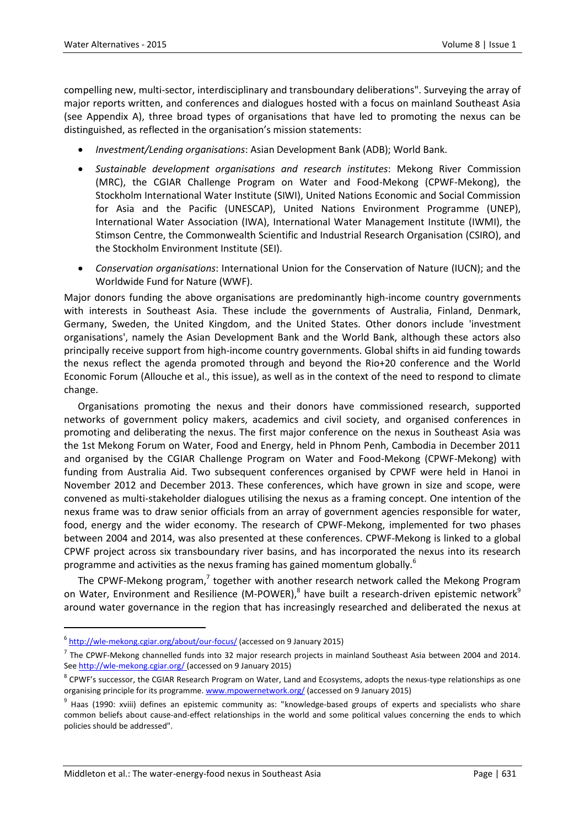compelling new, multi-sector, interdisciplinary and transboundary deliberations". Surveying the array of major reports written, and conferences and dialogues hosted with a focus on mainland Southeast Asia (see Appendix A), three broad types of organisations that have led to promoting the nexus can be distinguished, as reflected in the organisation's mission statements:

- *Investment/Lending organisations*: Asian Development Bank (ADB); World Bank.
- *Sustainable development organisations and research institutes*: Mekong River Commission (MRC), the CGIAR Challenge Program on Water and Food-Mekong (CPWF-Mekong), the Stockholm International Water Institute (SIWI), United Nations Economic and Social Commission for Asia and the Pacific (UNESCAP), United Nations Environment Programme (UNEP), International Water Association (IWA), International Water Management Institute (IWMI), the Stimson Centre, the Commonwealth Scientific and Industrial Research Organisation (CSIRO), and the Stockholm Environment Institute (SEI).
- *Conservation organisations*: International Union for the Conservation of Nature (IUCN); and the Worldwide Fund for Nature (WWF).

Major donors funding the above organisations are predominantly high-income country governments with interests in Southeast Asia. These include the governments of Australia, Finland, Denmark, Germany, Sweden, the United Kingdom, and the United States. Other donors include 'investment organisations', namely the Asian Development Bank and the World Bank, although these actors also principally receive support from high-income country governments. Global shifts in aid funding towards the nexus reflect the agenda promoted through and beyond the Rio+20 conference and the World Economic Forum (Allouche et al., this issue), as well as in the context of the need to respond to climate change.

Organisations promoting the nexus and their donors have commissioned research, supported networks of government policy makers, academics and civil society, and organised conferences in promoting and deliberating the nexus. The first major conference on the nexus in Southeast Asia was the 1st Mekong Forum on Water, Food and Energy, held in Phnom Penh, Cambodia in December 2011 and organised by the CGIAR Challenge Program on Water and Food-Mekong (CPWF-Mekong) with funding from Australia Aid. Two subsequent conferences organised by CPWF were held in Hanoi in November 2012 and December 2013. These conferences, which have grown in size and scope, were convened as multi-stakeholder dialogues utilising the nexus as a framing concept. One intention of the nexus frame was to draw senior officials from an array of government agencies responsible for water, food, energy and the wider economy. The research of CPWF-Mekong, implemented for two phases between 2004 and 2014, was also presented at these conferences. CPWF-Mekong is linked to a global CPWF project across six transboundary river basins, and has incorporated the nexus into its research programme and activities as the nexus framing has gained momentum globally.<sup>6</sup>

The CPWF-Mekong program,<sup>7</sup> together with another research network called the Mekong Program on Water, Environment and Resilience (M-POWER),<sup>8</sup> have built a research-driven epistemic network<sup>9</sup> around water governance in the region that has increasingly researched and deliberated the nexus at

1

<sup>&</sup>lt;sup>6</sup> <http://wle-mekong.cgiar.org/about/our-focus/> (accessed on 9 January 2015)

 $^7$  The CPWF-Mekong channelled funds into 32 major research projects in mainland Southeast Asia between 2004 and 2014. Se[e http://wle-mekong.cgiar.org/](http://wle-mekong.cgiar.org/) (accessed on 9 January 2015)

 $^8$  CPWF's successor, the CGIAR Research Program on Water, Land and Ecosystems, adopts the nexus-type relationships as one organising principle for its programme[. www.mpowernetwork.org/](http://www.mpowernetwork.org/) (accessed on 9 January 2015)

<sup>&</sup>lt;sup>9</sup> Haas (1990: xviii) defines an epistemic community as: "knowledge-based groups of experts and specialists who share common beliefs about cause-and-effect relationships in the world and some political values concerning the ends to which policies should be addressed".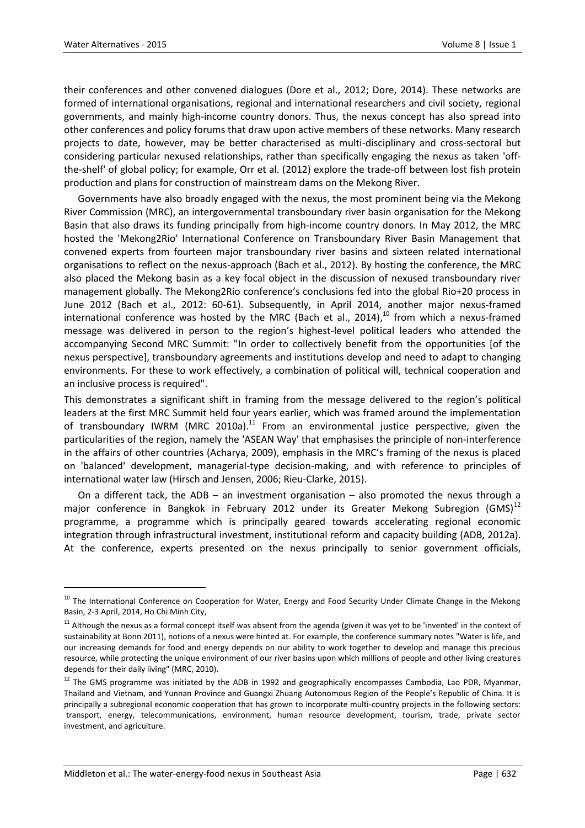1

their conferences and other convened dialogues (Dore et al., 2012; Dore, 2014). These networks are formed of international organisations, regional and international researchers and civil society, regional governments, and mainly high-income country donors. Thus, the nexus concept has also spread into other conferences and policy forums that draw upon active members of these networks. Many research projects to date, however, may be better characterised as multi-disciplinary and cross-sectoral but considering particular nexused relationships, rather than specifically engaging the nexus as taken 'offthe-shelf' of global policy; for example, Orr et al. (2012) explore the trade-off between lost fish protein production and plans for construction of mainstream dams on the Mekong River.

Governments have also broadly engaged with the nexus, the most prominent being via the Mekong River Commission (MRC), an intergovernmental transboundary river basin organisation for the Mekong Basin that also draws its funding principally from high-income country donors. In May 2012, the MRC hosted the 'Mekong2Rio' International Conference on Transboundary River Basin Management that convened experts from fourteen major transboundary river basins and sixteen related international organisations to reflect on the nexus-approach (Bach et al., 2012). By hosting the conference, the MRC also placed the Mekong basin as a key focal object in the discussion of nexused transboundary river management globally. The Mekong2Rio conference's conclusions fed into the global Rio+20 process in June 2012 (Bach et al., 2012: 60-61). Subsequently, in April 2014, another major nexus-framed international conference was hosted by the MRC (Bach et al., 2014),<sup>10</sup> from which a nexus-framed message was delivered in person to the region's highest-level political leaders who attended the accompanying Second MRC Summit: "In order to collectively benefit from the opportunities [of the nexus perspective], transboundary agreements and institutions develop and need to adapt to changing environments. For these to work effectively, a combination of political will, technical cooperation and an inclusive process is required".

This demonstrates a significant shift in framing from the message delivered to the region's political leaders at the first MRC Summit held four years earlier, which was framed around the implementation of transboundary IWRM (MRC 2010a).<sup>11</sup> From an environmental justice perspective, given the particularities of the region, namely the 'ASEAN Way' that emphasises the principle of non-interference in the affairs of other countries (Acharya, 2009), emphasis in the MRC's framing of the nexus is placed on 'balanced' development, managerial-type decision-making, and with reference to principles of international water law (Hirsch and Jensen, 2006; Rieu-Clarke, 2015).

On a different tack, the ADB – an investment organisation – also promoted the nexus through a major conference in Bangkok in February 2012 under its Greater Mekong Subregion  $(GMS)^{12}$ programme, a programme which is principally geared towards accelerating regional economic integration through infrastructural investment, institutional reform and capacity building (ADB, 2012a). At the conference, experts presented on the nexus principally to senior government officials,

<sup>&</sup>lt;sup>10</sup> The International Conference on Cooperation for Water, Energy and Food Security Under Climate Change in the Mekong Basin, 2-3 April, 2014, Ho Chi Minh City,

<sup>&</sup>lt;sup>11</sup> Although the nexus as a formal concept itself was absent from the agenda (given it was yet to be 'invented' in the context of sustainability at Bonn 2011), notions of a nexus were hinted at. For example, the conference summary notes "Water is life, and our increasing demands for food and energy depends on our ability to work together to develop and manage this precious resource, while protecting the unique environment of our river basins upon which millions of people and other living creatures depends for their daily living" (MRC, 2010).

<sup>&</sup>lt;sup>12</sup> The GMS programme was initiated by the ADB in 1992 and geographically encompasses Cambodia, Lao PDR, Myanmar, Thailand and Vietnam, and Yunnan Province and Guangxi Zhuang Autonomous Region of the People's Republic of China. It is principally a subregional economic cooperation that has grown to incorporate multi-country projects in the following sectors: transport, energy, telecommunications, environment, human resource development, tourism, trade, private sector investment, and agriculture.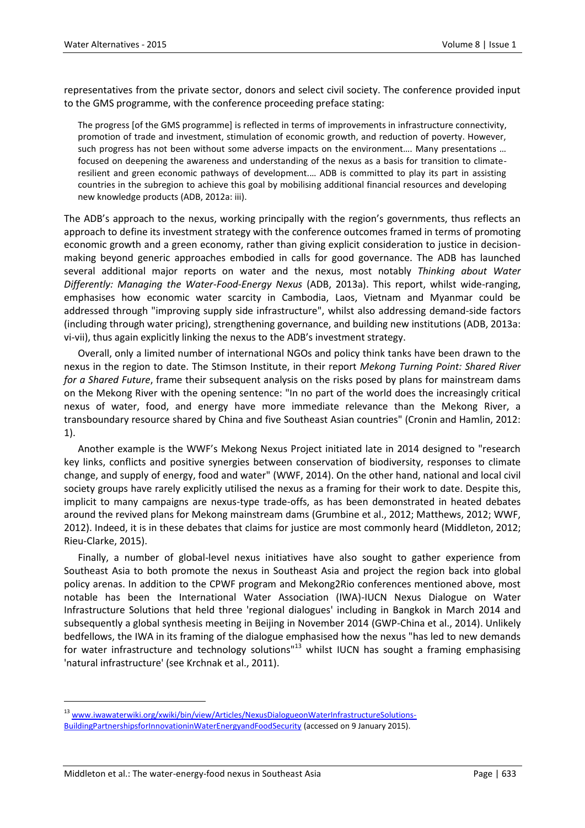representatives from the private sector, donors and select civil society. The conference provided input to the GMS programme, with the conference proceeding preface stating:

The progress [of the GMS programme] is reflected in terms of improvements in infrastructure connectivity, promotion of trade and investment, stimulation of economic growth, and reduction of poverty. However, such progress has not been without some adverse impacts on the environment…. Many presentations … focused on deepening the awareness and understanding of the nexus as a basis for transition to climateresilient and green economic pathways of development.… ADB is committed to play its part in assisting countries in the subregion to achieve this goal by mobilising additional financial resources and developing new knowledge products (ADB, 2012a: iii).

The ADB's approach to the nexus, working principally with the region's governments, thus reflects an approach to define its investment strategy with the conference outcomes framed in terms of promoting economic growth and a green economy, rather than giving explicit consideration to justice in decisionmaking beyond generic approaches embodied in calls for good governance. The ADB has launched several additional major reports on water and the nexus, most notably *Thinking about Water Differently: Managing the Water-Food-Energy Nexus* (ADB, 2013a). This report, whilst wide-ranging, emphasises how economic water scarcity in Cambodia, Laos, Vietnam and Myanmar could be addressed through "improving supply side infrastructure", whilst also addressing demand-side factors (including through water pricing), strengthening governance, and building new institutions (ADB, 2013a: vi-vii), thus again explicitly linking the nexus to the ADB's investment strategy.

Overall, only a limited number of international NGOs and policy think tanks have been drawn to the nexus in the region to date. The Stimson Institute, in their report *Mekong Turning Point: Shared River for a Shared Future*, frame their subsequent analysis on the risks posed by plans for mainstream dams on the Mekong River with the opening sentence: "In no part of the world does the increasingly critical nexus of water, food, and energy have more immediate relevance than the Mekong River, a transboundary resource shared by China and five Southeast Asian countries" (Cronin and Hamlin, 2012: 1).

Another example is the WWF's Mekong Nexus Project initiated late in 2014 designed to "research key links, conflicts and positive synergies between conservation of biodiversity, responses to climate change, and supply of energy, food and water" (WWF, 2014). On the other hand, national and local civil society groups have rarely explicitly utilised the nexus as a framing for their work to date. Despite this, implicit to many campaigns are nexus-type trade-offs, as has been demonstrated in heated debates around the revived plans for Mekong mainstream dams (Grumbine et al., 2012; Matthews, 2012; WWF, 2012). Indeed, it is in these debates that claims for justice are most commonly heard (Middleton, 2012; Rieu-Clarke, 2015).

Finally, a number of global-level nexus initiatives have also sought to gather experience from Southeast Asia to both promote the nexus in Southeast Asia and project the region back into global policy arenas. In addition to the CPWF program and Mekong2Rio conferences mentioned above, most notable has been the International Water Association (IWA)-IUCN Nexus Dialogue on Water Infrastructure Solutions that held three 'regional dialogues' including in Bangkok in March 2014 and subsequently a global synthesis meeting in Beijing in November 2014 (GWP-China et al., 2014). Unlikely bedfellows, the IWA in its framing of the dialogue emphasised how the nexus "has led to new demands for water infrastructure and technology solutions"<sup>13</sup> whilst IUCN has sought a framing emphasising 'natural infrastructure' (see Krchnak et al., 2011).

<sup>&</sup>lt;sup>13</sup> [www.iwawaterwiki.org/xwiki/bin/view/Articles/NexusDialogueonWaterInfrastructureSolutions-](http://www.iwawaterwiki.org/xwiki/bin/view/Articles/NexusDialogueonWaterInfrastructureSolutions-BuildingPartnershipsforInnovationinWaterEnergyandFoodSecurity)[BuildingPartnershipsforInnovationinWaterEnergyandFoodSecurity](http://www.iwawaterwiki.org/xwiki/bin/view/Articles/NexusDialogueonWaterInfrastructureSolutions-BuildingPartnershipsforInnovationinWaterEnergyandFoodSecurity) (accessed on 9 January 2015).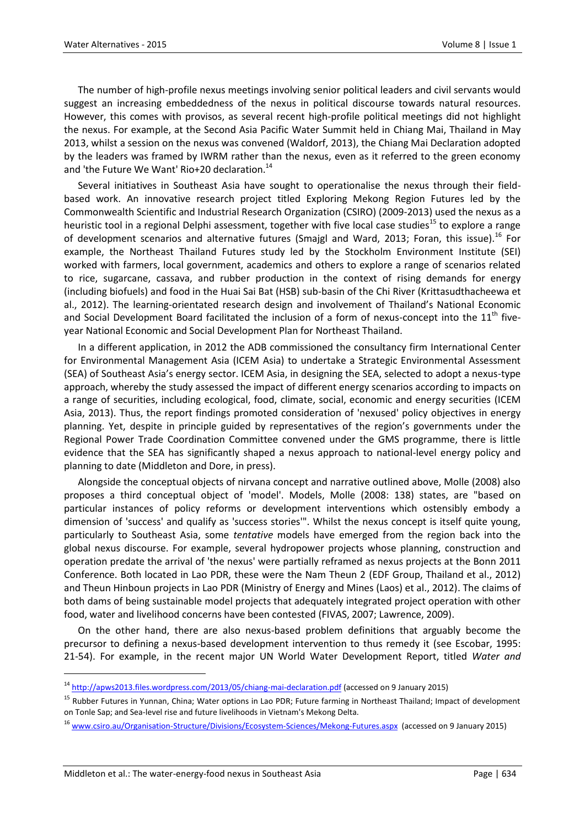The number of high-profile nexus meetings involving senior political leaders and civil servants would suggest an increasing embeddedness of the nexus in political discourse towards natural resources. However, this comes with provisos, as several recent high-profile political meetings did not highlight the nexus. For example, at the Second Asia Pacific Water Summit held in Chiang Mai, Thailand in May 2013, whilst a session on the nexus was convened (Waldorf, 2013), the Chiang Mai Declaration adopted by the leaders was framed by IWRM rather than the nexus, even as it referred to the green economy and 'the Future We Want' Rio+20 declaration.<sup>14</sup>

Several initiatives in Southeast Asia have sought to operationalise the nexus through their fieldbased work. An innovative research project titled Exploring Mekong Region Futures led by the Commonwealth Scientific and Industrial Research Organization (CSIRO) (2009-2013) used the nexus as a heuristic tool in a regional Delphi assessment, together with five local case studies<sup>15</sup> to explore a range of development scenarios and alternative futures (Smajgl and Ward, 2013; Foran, this issue).<sup>16</sup> For example, the Northeast Thailand Futures study led by the Stockholm Environment Institute (SEI) worked with farmers, local government, academics and others to explore a range of scenarios related to rice, sugarcane, cassava, and rubber production in the context of rising demands for energy (including biofuels) and food in the Huai Sai Bat (HSB) sub-basin of the Chi River (Krittasudthacheewa et al., 2012). The learning-orientated research design and involvement of Thailand's National Economic and Social Development Board facilitated the inclusion of a form of nexus-concept into the  $11<sup>th</sup>$  fiveyear National Economic and Social Development Plan for Northeast Thailand.

In a different application, in 2012 the ADB commissioned the consultancy firm International Center for Environmental Management Asia (ICEM Asia) to undertake a Strategic Environmental Assessment (SEA) of Southeast Asia's energy sector. ICEM Asia, in designing the SEA, selected to adopt a nexus-type approach, whereby the study assessed the impact of different energy scenarios according to impacts on a range of securities, including ecological, food, climate, social, economic and energy securities (ICEM Asia, 2013). Thus, the report findings promoted consideration of 'nexused' policy objectives in energy planning. Yet, despite in principle guided by representatives of the region's governments under the Regional Power Trade Coordination Committee convened under the GMS programme, there is little evidence that the SEA has significantly shaped a nexus approach to national-level energy policy and planning to date (Middleton and Dore, in press).

Alongside the conceptual objects of nirvana concept and narrative outlined above, Molle (2008) also proposes a third conceptual object of 'model'. Models, Molle (2008: 138) states, are "based on particular instances of policy reforms or development interventions which ostensibly embody a dimension of 'success' and qualify as 'success stories'". Whilst the nexus concept is itself quite young, particularly to Southeast Asia, some *tentative* models have emerged from the region back into the global nexus discourse. For example, several hydropower projects whose planning, construction and operation predate the arrival of 'the nexus' were partially reframed as nexus projects at the Bonn 2011 Conference. Both located in Lao PDR, these were the Nam Theun 2 (EDF Group, Thailand et al., 2012) and Theun Hinboun projects in Lao PDR (Ministry of Energy and Mines (Laos) et al., 2012). The claims of both dams of being sustainable model projects that adequately integrated project operation with other food, water and livelihood concerns have been contested (FIVAS, 2007; Lawrence, 2009).

On the other hand, there are also nexus-based problem definitions that arguably become the precursor to defining a nexus-based development intervention to thus remedy it (see Escobar, 1995: 21-54). For example, in the recent major UN World Water Development Report, titled *Water and* 

 $\overline{a}$ 

<sup>&</sup>lt;sup>14</sup> <http://apws2013.files.wordpress.com/2013/05/chiang-mai-declaration.pdf> (accessed on 9 January 2015)

<sup>&</sup>lt;sup>15</sup> Rubber Futures in Yunnan, China; Water options in Lao PDR; Future farming in Northeast Thailand; Impact of development on Tonle Sap; and Sea-level rise and future livelihoods in Vietnam's Mekong Delta.

<sup>&</sup>lt;sup>16</sup> [www.csiro.au/Organisation-Structure/Divisions/Ecosystem-Sciences/Mekong-Futures.aspx](http://www.csiro.au/Organisation-Structure/Divisions/Ecosystem-Sciences/Mekong-Futures.aspx) (accessed on 9 January 2015)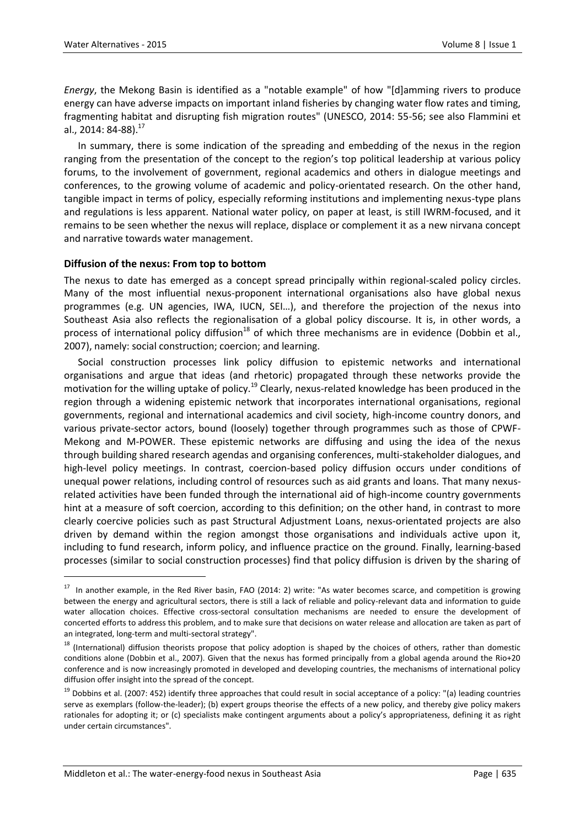$\ddot{\phantom{a}}$ 

*Energy*, the Mekong Basin is identified as a "notable example" of how "[d]amming rivers to produce energy can have adverse impacts on important inland fisheries by changing water flow rates and timing, fragmenting habitat and disrupting fish migration routes" (UNESCO, 2014: 55-56; see also Flammini et al., 2014: 84-88).<sup>1/</sup>

In summary, there is some indication of the spreading and embedding of the nexus in the region ranging from the presentation of the concept to the region's top political leadership at various policy forums, to the involvement of government, regional academics and others in dialogue meetings and conferences, to the growing volume of academic and policy-orientated research. On the other hand, tangible impact in terms of policy, especially reforming institutions and implementing nexus-type plans and regulations is less apparent. National water policy, on paper at least, is still IWRM-focused, and it remains to be seen whether the nexus will replace, displace or complement it as a new nirvana concept and narrative towards water management.

#### **Diffusion of the nexus: From top to bottom**

The nexus to date has emerged as a concept spread principally within regional-scaled policy circles. Many of the most influential nexus-proponent international organisations also have global nexus programmes (e.g. UN agencies, IWA, IUCN, SEI…), and therefore the projection of the nexus into Southeast Asia also reflects the regionalisation of a global policy discourse. It is, in other words, a process of international policy diffusion<sup>18</sup> of which three mechanisms are in evidence (Dobbin et al., 2007), namely: social construction; coercion; and learning.

Social construction processes link policy diffusion to epistemic networks and international organisations and argue that ideas (and rhetoric) propagated through these networks provide the motivation for the willing uptake of policy.<sup>19</sup> Clearly, nexus-related knowledge has been produced in the region through a widening epistemic network that incorporates international organisations, regional governments, regional and international academics and civil society, high-income country donors, and various private-sector actors, bound (loosely) together through programmes such as those of CPWF-Mekong and M-POWER. These epistemic networks are diffusing and using the idea of the nexus through building shared research agendas and organising conferences, multi-stakeholder dialogues, and high-level policy meetings. In contrast, coercion-based policy diffusion occurs under conditions of unequal power relations, including control of resources such as aid grants and loans. That many nexusrelated activities have been funded through the international aid of high-income country governments hint at a measure of soft coercion, according to this definition; on the other hand, in contrast to more clearly coercive policies such as past Structural Adjustment Loans, nexus-orientated projects are also driven by demand within the region amongst those organisations and individuals active upon it, including to fund research, inform policy, and influence practice on the ground. Finally, learning-based processes (similar to social construction processes) find that policy diffusion is driven by the sharing of

 $17$  In another example, in the Red River basin, FAO (2014: 2) write: "As water becomes scarce, and competition is growing between the energy and agricultural sectors, there is still a lack of reliable and policy-relevant data and information to guide water allocation choices. Effective cross-sectoral consultation mechanisms are needed to ensure the development of concerted efforts to address this problem, and to make sure that decisions on water release and allocation are taken as part of an integrated, long-term and multi-sectoral strategy".

<sup>&</sup>lt;sup>18</sup> (International) diffusion theorists propose that policy adoption is shaped by the choices of others, rather than domestic conditions alone (Dobbin et al., 2007). Given that the nexus has formed principally from a global agenda around the Rio+20 conference and is now increasingly promoted in developed and developing countries, the mechanisms of international policy diffusion offer insight into the spread of the concept.

 $19$  Dobbins et al. (2007: 452) identify three approaches that could result in social acceptance of a policy: "(a) leading countries serve as exemplars (follow-the-leader); (b) expert groups theorise the effects of a new policy, and thereby give policy makers rationales for adopting it; or (c) specialists make contingent arguments about a policy's appropriateness, defining it as right under certain circumstances".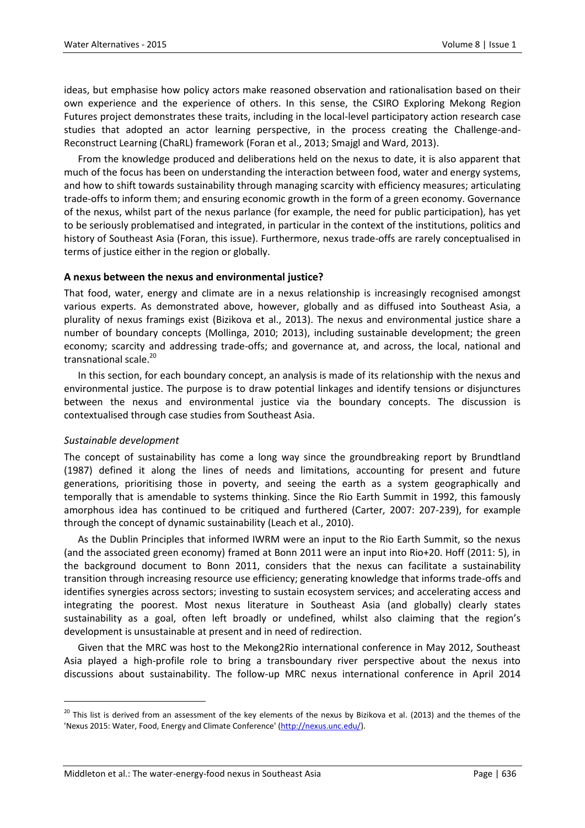ideas, but emphasise how policy actors make reasoned observation and rationalisation based on their own experience and the experience of others. In this sense, the CSIRO Exploring Mekong Region Futures project demonstrates these traits, including in the local-level participatory action research case studies that adopted an actor learning perspective, in the process creating the Challenge-and-Reconstruct Learning (ChaRL) framework (Foran et al., 2013; Smajgl and Ward, 2013).

From the knowledge produced and deliberations held on the nexus to date, it is also apparent that much of the focus has been on understanding the interaction between food, water and energy systems, and how to shift towards sustainability through managing scarcity with efficiency measures; articulating trade-offs to inform them; and ensuring economic growth in the form of a green economy. Governance of the nexus, whilst part of the nexus parlance (for example, the need for public participation), has yet to be seriously problematised and integrated, in particular in the context of the institutions, politics and history of Southeast Asia (Foran, this issue). Furthermore, nexus trade-offs are rarely conceptualised in terms of justice either in the region or globally.

#### **A nexus between the nexus and environmental justice?**

That food, water, energy and climate are in a nexus relationship is increasingly recognised amongst various experts. As demonstrated above, however, globally and as diffused into Southeast Asia, a plurality of nexus framings exist (Bizikova et al., 2013). The nexus and environmental justice share a number of boundary concepts (Mollinga, 2010; 2013), including sustainable development; the green economy; scarcity and addressing trade-offs; and governance at, and across, the local, national and transnational scale.<sup>20</sup>

In this section, for each boundary concept, an analysis is made of its relationship with the nexus and environmental justice. The purpose is to draw potential linkages and identify tensions or disjunctures between the nexus and environmental justice via the boundary concepts. The discussion is contextualised through case studies from Southeast Asia.

#### *Sustainable development*

 $\ddot{\phantom{a}}$ 

The concept of sustainability has come a long way since the groundbreaking report by Brundtland (1987) defined it along the lines of needs and limitations, accounting for present and future generations, prioritising those in poverty, and seeing the earth as a system geographically and temporally that is amendable to systems thinking. Since the Rio Earth Summit in 1992, this famously amorphous idea has continued to be critiqued and furthered (Carter, 2007: 207-239), for example through the concept of dynamic sustainability (Leach et al., 2010).

As the Dublin Principles that informed IWRM were an input to the Rio Earth Summit, so the nexus (and the associated green economy) framed at Bonn 2011 were an input into Rio+20. Hoff (2011: 5), in the background document to Bonn 2011, considers that the nexus can facilitate a sustainability transition through increasing resource use efficiency; generating knowledge that informs trade-offs and identifies synergies across sectors; investing to sustain ecosystem services; and accelerating access and integrating the poorest. Most nexus literature in Southeast Asia (and globally) clearly states sustainability as a goal, often left broadly or undefined, whilst also claiming that the region's development is unsustainable at present and in need of redirection.

Given that the MRC was host to the Mekong2Rio international conference in May 2012, Southeast Asia played a high-profile role to bring a transboundary river perspective about the nexus into discussions about sustainability. The follow-up MRC nexus international conference in April 2014

<sup>&</sup>lt;sup>20</sup> This list is derived from an assessment of the key elements of the nexus by Bizikova et al. (2013) and the themes of the 'Nexus 2015: Water, Food, Energy and Climate Conference' [\(http://nexus.unc.edu/\)](http://nexus.unc.edu/).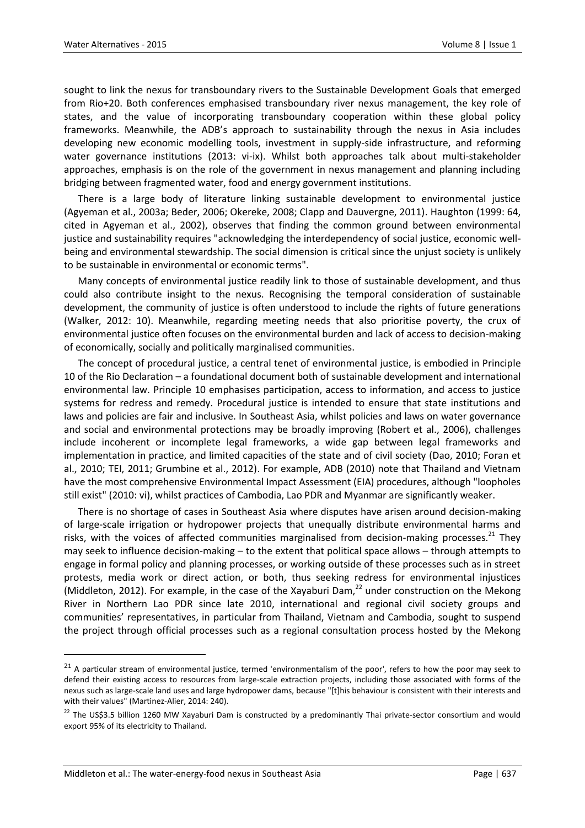sought to link the nexus for transboundary rivers to the Sustainable Development Goals that emerged from Rio+20. Both conferences emphasised transboundary river nexus management, the key role of states, and the value of incorporating transboundary cooperation within these global policy frameworks. Meanwhile, the ADB's approach to sustainability through the nexus in Asia includes developing new economic modelling tools, investment in supply-side infrastructure, and reforming water governance institutions (2013: vi-ix). Whilst both approaches talk about multi-stakeholder approaches, emphasis is on the role of the government in nexus management and planning including bridging between fragmented water, food and energy government institutions.

There is a large body of literature linking sustainable development to environmental justice (Agyeman et al., 2003a; Beder, 2006; Okereke, 2008; Clapp and Dauvergne, 2011). Haughton (1999: 64, cited in Agyeman et al., 2002), observes that finding the common ground between environmental justice and sustainability requires "acknowledging the interdependency of social justice, economic wellbeing and environmental stewardship. The social dimension is critical since the unjust society is unlikely to be sustainable in environmental or economic terms".

Many concepts of environmental justice readily link to those of sustainable development, and thus could also contribute insight to the nexus. Recognising the temporal consideration of sustainable development, the community of justice is often understood to include the rights of future generations (Walker, 2012: 10). Meanwhile, regarding meeting needs that also prioritise poverty, the crux of environmental justice often focuses on the environmental burden and lack of access to decision-making of economically, socially and politically marginalised communities.

The concept of procedural justice, a central tenet of environmental justice, is embodied in Principle 10 of the Rio Declaration – a foundational document both of sustainable development and international environmental law. Principle 10 emphasises participation, access to information, and access to justice systems for redress and remedy. Procedural justice is intended to ensure that state institutions and laws and policies are fair and inclusive. In Southeast Asia, whilst policies and laws on water governance and social and environmental protections may be broadly improving (Robert et al., 2006), challenges include incoherent or incomplete legal frameworks, a wide gap between legal frameworks and implementation in practice, and limited capacities of the state and of civil society (Dao, 2010; Foran et al., 2010; TEI, 2011; Grumbine et al., 2012). For example, ADB (2010) note that Thailand and Vietnam have the most comprehensive Environmental Impact Assessment (EIA) procedures, although "loopholes still exist" (2010: vi), whilst practices of Cambodia, Lao PDR and Myanmar are significantly weaker.

There is no shortage of cases in Southeast Asia where disputes have arisen around decision-making of large-scale irrigation or hydropower projects that unequally distribute environmental harms and risks, with the voices of affected communities marginalised from decision-making processes.<sup>21</sup> They may seek to influence decision-making – to the extent that political space allows – through attempts to engage in formal policy and planning processes, or working outside of these processes such as in street protests, media work or direct action, or both, thus seeking redress for environmental injustices (Middleton, 2012). For example, in the case of the Xayaburi Dam, $^{22}$  under construction on the Mekong River in Northern Lao PDR since late 2010, international and regional civil society groups and communities' representatives, in particular from Thailand, Vietnam and Cambodia, sought to suspend the project through official processes such as a regional consultation process hosted by the Mekong

<sup>&</sup>lt;sup>21</sup> A particular stream of environmental justice, termed 'environmentalism of the poor', refers to how the poor may seek to defend their existing access to resources from large-scale extraction projects, including those associated with forms of the nexus such as large-scale land uses and large hydropower dams, because "[t]his behaviour is consistent with their interests and with their values" (Martinez-Alier, 2014: 240).

<sup>&</sup>lt;sup>22</sup> The US\$3.5 billion 1260 MW Xayaburi Dam is constructed by a predominantly Thai private-sector consortium and would export 95% of its electricity to Thailand.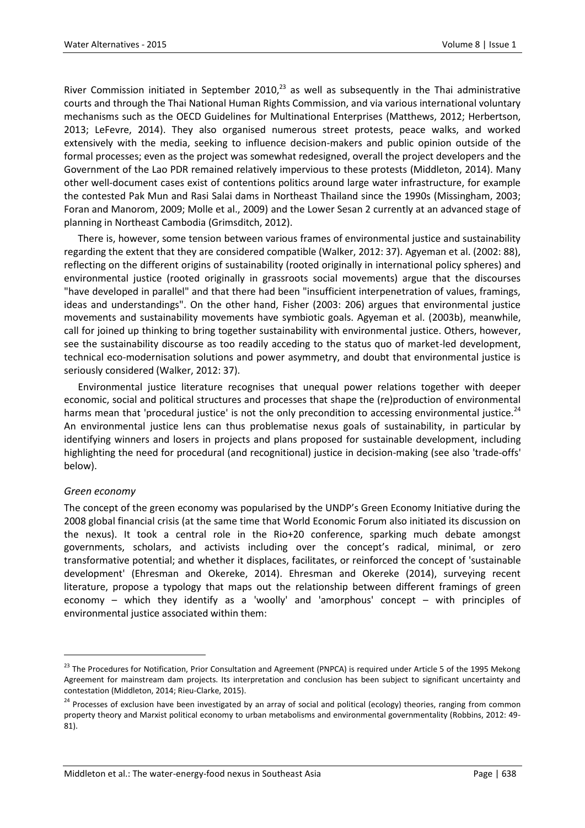River Commission initiated in September 2010, $^{23}$  as well as subsequently in the Thai administrative courts and through the Thai National Human Rights Commission, and via various international voluntary mechanisms such as the OECD Guidelines for Multinational Enterprises (Matthews, 2012; Herbertson, 2013; LeFevre, 2014). They also organised numerous street protests, peace walks, and worked extensively with the media, seeking to influence decision-makers and public opinion outside of the formal processes; even as the project was somewhat redesigned, overall the project developers and the Government of the Lao PDR remained relatively impervious to these protests (Middleton, 2014). Many other well-document cases exist of contentions politics around large water infrastructure, for example the contested Pak Mun and Rasi Salai dams in Northeast Thailand since the 1990s (Missingham, 2003; Foran and Manorom, 2009; Molle et al., 2009) and the Lower Sesan 2 currently at an advanced stage of planning in Northeast Cambodia (Grimsditch, 2012).

There is, however, some tension between various frames of environmental justice and sustainability regarding the extent that they are considered compatible (Walker, 2012: 37). Agyeman et al. (2002: 88), reflecting on the different origins of sustainability (rooted originally in international policy spheres) and environmental justice (rooted originally in grassroots social movements) argue that the discourses "have developed in parallel" and that there had been "insufficient interpenetration of values, framings, ideas and understandings". On the other hand, Fisher (2003: 206) argues that environmental justice movements and sustainability movements have symbiotic goals. Agyeman et al. (2003b), meanwhile, call for joined up thinking to bring together sustainability with environmental justice. Others, however, see the sustainability discourse as too readily acceding to the status quo of market-led development, technical eco-modernisation solutions and power asymmetry, and doubt that environmental justice is seriously considered (Walker, 2012: 37).

Environmental justice literature recognises that unequal power relations together with deeper economic, social and political structures and processes that shape the (re)production of environmental harms mean that 'procedural justice' is not the only precondition to accessing environmental justice.<sup>24</sup> An environmental justice lens can thus problematise nexus goals of sustainability, in particular by identifying winners and losers in projects and plans proposed for sustainable development, including highlighting the need for procedural (and recognitional) justice in decision-making (see also 'trade-offs' below).

#### *Green economy*

 $\ddot{\phantom{a}}$ 

The concept of the green economy was popularised by the UNDP's Green Economy Initiative during the 2008 global financial crisis (at the same time that World Economic Forum also initiated its discussion on the nexus). It took a central role in the Rio+20 conference, sparking much debate amongst governments, scholars, and activists including over the concept's radical, minimal, or zero transformative potential; and whether it displaces, facilitates, or reinforced the concept of 'sustainable development' (Ehresman and Okereke, 2014). Ehresman and Okereke (2014), surveying recent literature, propose a typology that maps out the relationship between different framings of green economy – which they identify as a 'woolly' and 'amorphous' concept – with principles of environmental justice associated within them:

<sup>&</sup>lt;sup>23</sup> The Procedures for Notification, Prior Consultation and Agreement (PNPCA) is required under Article 5 of the 1995 Mekong Agreement for mainstream dam projects. Its interpretation and conclusion has been subject to significant uncertainty and contestation (Middleton, 2014; Rieu-Clarke, 2015).

<sup>&</sup>lt;sup>24</sup> Processes of exclusion have been investigated by an array of social and political (ecology) theories, ranging from common property theory and Marxist political economy to urban metabolisms and environmental governmentality (Robbins, 2012: 49- 81).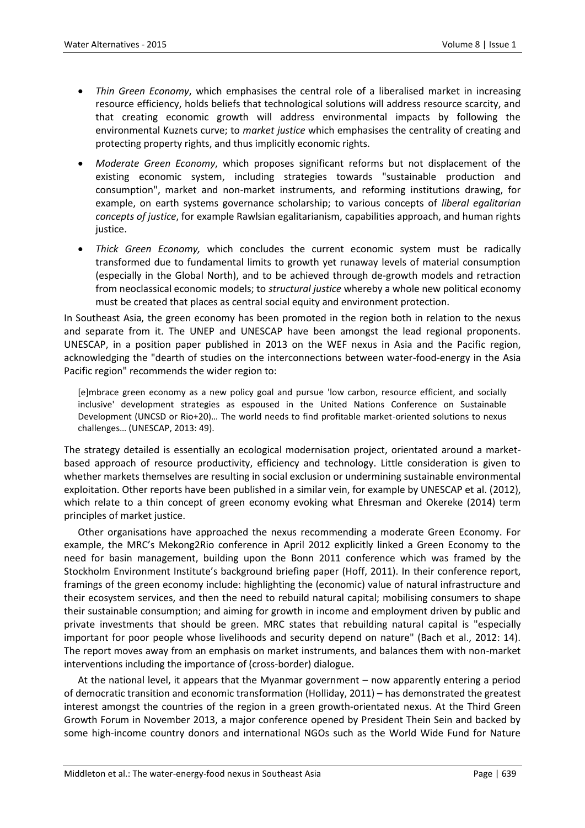- *Thin Green Economy*, which emphasises the central role of a liberalised market in increasing resource efficiency, holds beliefs that technological solutions will address resource scarcity, and that creating economic growth will address environmental impacts by following the environmental Kuznets curve; to *market justice* which emphasises the centrality of creating and protecting property rights, and thus implicitly economic rights.
- *Moderate Green Economy*, which proposes significant reforms but not displacement of the existing economic system, including strategies towards "sustainable production and consumption", market and non-market instruments, and reforming institutions drawing, for example, on earth systems governance scholarship; to various concepts of *liberal egalitarian concepts of justice*, for example Rawlsian egalitarianism, capabilities approach, and human rights justice.
- *Thick Green Economy,* which concludes the current economic system must be radically transformed due to fundamental limits to growth yet runaway levels of material consumption (especially in the Global North), and to be achieved through de-growth models and retraction from neoclassical economic models; to *structural justice* whereby a whole new political economy must be created that places as central social equity and environment protection.

In Southeast Asia, the green economy has been promoted in the region both in relation to the nexus and separate from it. The UNEP and UNESCAP have been amongst the lead regional proponents. UNESCAP, in a position paper published in 2013 on the WEF nexus in Asia and the Pacific region, acknowledging the "dearth of studies on the interconnections between water-food-energy in the Asia Pacific region" recommends the wider region to:

[e]mbrace green economy as a new policy goal and pursue 'low carbon, resource efficient, and socially inclusive' development strategies as espoused in the United Nations Conference on Sustainable Development (UNCSD or Rio+20)… The world needs to find profitable market-oriented solutions to nexus challenges… (UNESCAP, 2013: 49).

The strategy detailed is essentially an ecological modernisation project, orientated around a marketbased approach of resource productivity, efficiency and technology. Little consideration is given to whether markets themselves are resulting in social exclusion or undermining sustainable environmental exploitation. Other reports have been published in a similar vein, for example by UNESCAP et al. (2012), which relate to a thin concept of green economy evoking what Ehresman and Okereke (2014) term principles of market justice.

Other organisations have approached the nexus recommending a moderate Green Economy. For example, the MRC's Mekong2Rio conference in April 2012 explicitly linked a Green Economy to the need for basin management, building upon the Bonn 2011 conference which was framed by the Stockholm Environment Institute's background briefing paper (Hoff, 2011). In their conference report, framings of the green economy include: highlighting the (economic) value of natural infrastructure and their ecosystem services, and then the need to rebuild natural capital; mobilising consumers to shape their sustainable consumption; and aiming for growth in income and employment driven by public and private investments that should be green. MRC states that rebuilding natural capital is "especially important for poor people whose livelihoods and security depend on nature" (Bach et al., 2012: 14). The report moves away from an emphasis on market instruments, and balances them with non-market interventions including the importance of (cross-border) dialogue.

At the national level, it appears that the Myanmar government – now apparently entering a period of democratic transition and economic transformation (Holliday, 2011) – has demonstrated the greatest interest amongst the countries of the region in a green growth-orientated nexus. At the Third Green Growth Forum in November 2013, a major conference opened by President Thein Sein and backed by some high-income country donors and international NGOs such as the World Wide Fund for Nature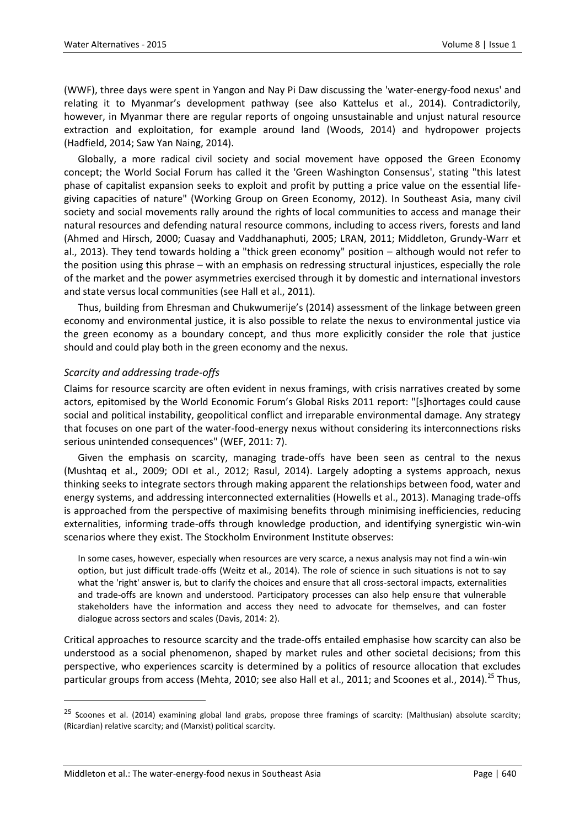(WWF), three days were spent in Yangon and Nay Pi Daw discussing the 'water-energy-food nexus' and relating it to Myanmar's development pathway (see also Kattelus et al., 2014). Contradictorily, however, in Myanmar there are regular reports of ongoing unsustainable and unjust natural resource extraction and exploitation, for example around land (Woods, 2014) and hydropower projects (Hadfield, 2014; Saw Yan Naing, 2014).

Globally, a more radical civil society and social movement have opposed the Green Economy concept; the World Social Forum has called it the 'Green Washington Consensus', stating "this latest phase of capitalist expansion seeks to exploit and profit by putting a price value on the essential lifegiving capacities of nature" (Working Group on Green Economy, 2012). In Southeast Asia, many civil society and social movements rally around the rights of local communities to access and manage their natural resources and defending natural resource commons, including to access rivers, forests and land (Ahmed and Hirsch, 2000; Cuasay and Vaddhanaphuti, 2005; LRAN, 2011; Middleton, Grundy-Warr et al., 2013). They tend towards holding a "thick green economy" position – although would not refer to the position using this phrase – with an emphasis on redressing structural injustices, especially the role of the market and the power asymmetries exercised through it by domestic and international investors and state versus local communities (see Hall et al., 2011).

Thus, building from Ehresman and Chukwumerije's (2014) assessment of the linkage between green economy and environmental justice, it is also possible to relate the nexus to environmental justice via the green economy as a boundary concept, and thus more explicitly consider the role that justice should and could play both in the green economy and the nexus.

#### *Scarcity and addressing trade-offs*

Claims for resource scarcity are often evident in nexus framings, with crisis narratives created by some actors, epitomised by the World Economic Forum's Global Risks 2011 report: "[s]hortages could cause social and political instability, geopolitical conflict and irreparable environmental damage. Any strategy that focuses on one part of the water-food-energy nexus without considering its interconnections risks serious unintended consequences" (WEF, 2011: 7).

Given the emphasis on scarcity, managing trade-offs have been seen as central to the nexus (Mushtaq et al., 2009; ODI et al., 2012; Rasul, 2014). Largely adopting a systems approach, nexus thinking seeks to integrate sectors through making apparent the relationships between food, water and energy systems, and addressing interconnected externalities (Howells et al., 2013). Managing trade-offs is approached from the perspective of maximising benefits through minimising inefficiencies, reducing externalities, informing trade-offs through knowledge production, and identifying synergistic win-win scenarios where they exist. The Stockholm Environment Institute observes:

In some cases, however, especially when resources are very scarce, a nexus analysis may not find a win-win option, but just difficult trade-offs (Weitz et al., 2014). The role of science in such situations is not to say what the 'right' answer is, but to clarify the choices and ensure that all cross-sectoral impacts, externalities and trade-offs are known and understood. Participatory processes can also help ensure that vulnerable stakeholders have the information and access they need to advocate for themselves, and can foster dialogue across sectors and scales (Davis, 2014: 2).

Critical approaches to resource scarcity and the trade-offs entailed emphasise how scarcity can also be understood as a social phenomenon, shaped by market rules and other societal decisions; from this perspective, who experiences scarcity is determined by a politics of resource allocation that excludes particular groups from access (Mehta, 2010; see also Hall et al., 2011; and Scoones et al., 2014).<sup>25</sup> Thus,

<sup>&</sup>lt;sup>25</sup> Scoones et al. (2014) examining global land grabs, propose three framings of scarcity: (Malthusian) absolute scarcity; (Ricardian) relative scarcity; and (Marxist) political scarcity.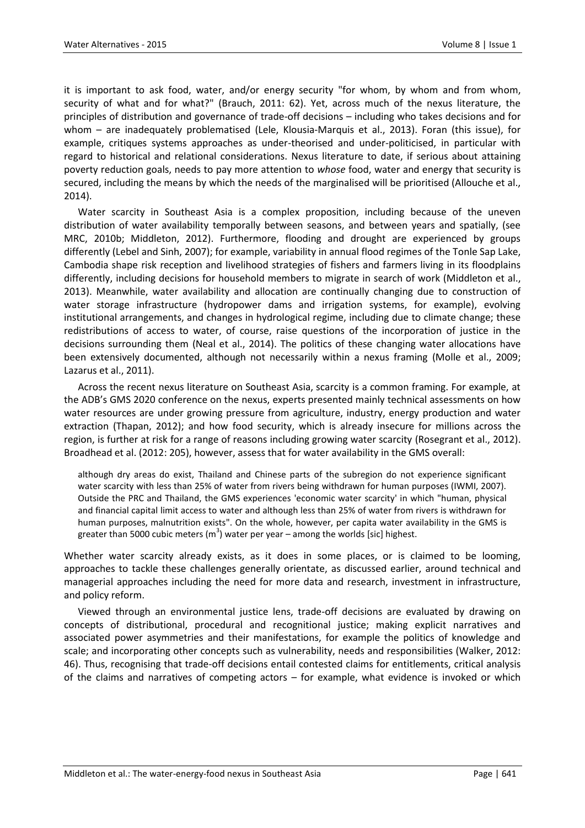it is important to ask food, water, and/or energy security "for whom, by whom and from whom, security of what and for what?" (Brauch, 2011: 62). Yet, across much of the nexus literature, the principles of distribution and governance of trade-off decisions – including who takes decisions and for whom – are inadequately problematised (Lele, Klousia-Marquis et al., 2013). Foran (this issue), for example, critiques systems approaches as under-theorised and under-politicised, in particular with regard to historical and relational considerations. Nexus literature to date, if serious about attaining poverty reduction goals, needs to pay more attention to *whose* food, water and energy that security is secured, including the means by which the needs of the marginalised will be prioritised (Allouche et al., 2014).

Water scarcity in Southeast Asia is a complex proposition, including because of the uneven distribution of water availability temporally between seasons, and between years and spatially, (see MRC, 2010b; Middleton, 2012). Furthermore, flooding and drought are experienced by groups differently (Lebel and Sinh, 2007); for example, variability in annual flood regimes of the Tonle Sap Lake, Cambodia shape risk reception and livelihood strategies of fishers and farmers living in its floodplains differently, including decisions for household members to migrate in search of work (Middleton et al., 2013). Meanwhile, water availability and allocation are continually changing due to construction of water storage infrastructure (hydropower dams and irrigation systems, for example), evolving institutional arrangements, and changes in hydrological regime, including due to climate change; these redistributions of access to water, of course, raise questions of the incorporation of justice in the decisions surrounding them (Neal et al., 2014). The politics of these changing water allocations have been extensively documented, although not necessarily within a nexus framing (Molle et al., 2009; Lazarus et al., 2011).

Across the recent nexus literature on Southeast Asia, scarcity is a common framing. For example, at the ADB's GMS 2020 conference on the nexus, experts presented mainly technical assessments on how water resources are under growing pressure from agriculture, industry, energy production and water extraction (Thapan, 2012); and how food security, which is already insecure for millions across the region, is further at risk for a range of reasons including growing water scarcity (Rosegrant et al., 2012). Broadhead et al. (2012: 205), however, assess that for water availability in the GMS overall:

although dry areas do exist, Thailand and Chinese parts of the subregion do not experience significant water scarcity with less than 25% of water from rivers being withdrawn for human purposes (IWMI, 2007). Outside the PRC and Thailand, the GMS experiences 'economic water scarcity' in which "human, physical and financial capital limit access to water and although less than 25% of water from rivers is withdrawn for human purposes, malnutrition exists". On the whole, however, per capita water availability in the GMS is greater than 5000 cubic meters (m $^3$ ) water per year – among the worlds [sic] highest.

Whether water scarcity already exists, as it does in some places, or is claimed to be looming, approaches to tackle these challenges generally orientate, as discussed earlier, around technical and managerial approaches including the need for more data and research, investment in infrastructure, and policy reform.

Viewed through an environmental justice lens, trade-off decisions are evaluated by drawing on concepts of distributional, procedural and recognitional justice; making explicit narratives and associated power asymmetries and their manifestations, for example the politics of knowledge and scale; and incorporating other concepts such as vulnerability, needs and responsibilities (Walker, 2012: 46). Thus, recognising that trade-off decisions entail contested claims for entitlements, critical analysis of the claims and narratives of competing actors – for example, what evidence is invoked or which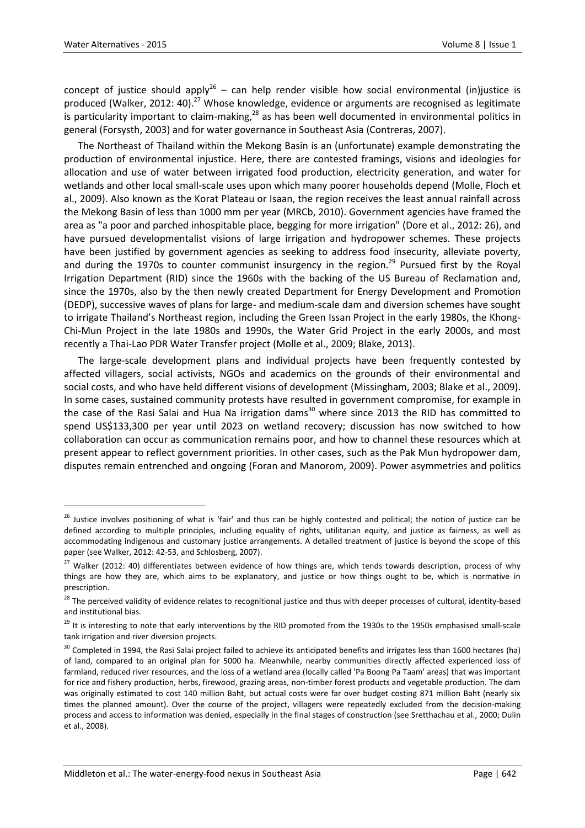1

concept of justice should apply<sup>26</sup> – can help render visible how social environmental (in)justice is produced (Walker, 2012: 40).<sup>27</sup> Whose knowledge, evidence or arguments are recognised as legitimate is particularity important to claim-making, $^{28}$  as has been well documented in environmental politics in general (Forsysth, 2003) and for water governance in Southeast Asia (Contreras, 2007).

The Northeast of Thailand within the Mekong Basin is an (unfortunate) example demonstrating the production of environmental injustice. Here, there are contested framings, visions and ideologies for allocation and use of water between irrigated food production, electricity generation, and water for wetlands and other local small-scale uses upon which many poorer households depend (Molle, Floch et al., 2009). Also known as the Korat Plateau or Isaan, the region receives the least annual rainfall across the Mekong Basin of less than 1000 mm per year (MRCb, 2010). Government agencies have framed the area as "a poor and parched inhospitable place, begging for more irrigation" (Dore et al., 2012: 26), and have pursued developmentalist visions of large irrigation and hydropower schemes. These projects have been justified by government agencies as seeking to address food insecurity, alleviate poverty, and during the 1970s to counter communist insurgency in the region.<sup>29</sup> Pursued first by the Royal Irrigation Department (RID) since the 1960s with the backing of the US Bureau of Reclamation and, since the 1970s, also by the then newly created Department for Energy Development and Promotion (DEDP), successive waves of plans for large- and medium-scale dam and diversion schemes have sought to irrigate Thailand's Northeast region, including the Green Issan Project in the early 1980s, the Khong-Chi-Mun Project in the late 1980s and 1990s, the Water Grid Project in the early 2000s, and most recently a Thai-Lao PDR Water Transfer project (Molle et al., 2009; Blake, 2013).

The large-scale development plans and individual projects have been frequently contested by affected villagers, social activists, NGOs and academics on the grounds of their environmental and social costs, and who have held different visions of development (Missingham, 2003; Blake et al., 2009). In some cases, sustained community protests have resulted in government compromise, for example in the case of the Rasi Salai and Hua Na irrigation dams<sup>30</sup> where since 2013 the RID has committed to spend US\$133,300 per year until 2023 on wetland recovery; discussion has now switched to how collaboration can occur as communication remains poor, and how to channel these resources which at present appear to reflect government priorities. In other cases, such as the Pak Mun hydropower dam, disputes remain entrenched and ongoing (Foran and Manorom, 2009). Power asymmetries and politics

<sup>&</sup>lt;sup>26</sup> Justice involves positioning of what is 'fair' and thus can be highly contested and political; the notion of justice can be defined according to multiple principles, including equality of rights, utilitarian equity, and justice as fairness, as well as accommodating indigenous and customary justice arrangements. A detailed treatment of justice is beyond the scope of this paper (see Walker, 2012: 42-53, and Schlosberg, 2007).

<sup>&</sup>lt;sup>27</sup> Walker (2012: 40) differentiates between evidence of how things are, which tends towards description, process of why things are how they are, which aims to be explanatory, and justice or how things ought to be, which is normative in prescription.

<sup>&</sup>lt;sup>28</sup> The perceived validity of evidence relates to recognitional justice and thus with deeper processes of cultural, identity-based and institutional bias.

<sup>&</sup>lt;sup>29</sup> It is interesting to note that early interventions by the RID promoted from the 1930s to the 1950s emphasised small-scale tank irrigation and river diversion projects.

<sup>&</sup>lt;sup>30</sup> Completed in 1994, the Rasi Salai project failed to achieve its anticipated benefits and irrigates less than 1600 hectares (ha) of land, compared to an original plan for 5000 ha. Meanwhile, nearby communities directly affected experienced loss of farmland, reduced river resources, and the loss of a wetland area (locally called 'Pa Boong Pa Taam' areas) that was important for rice and fishery production, herbs, firewood, grazing areas, non-timber forest products and vegetable production. The dam was originally estimated to cost 140 million Baht, but actual costs were far over budget costing 871 million Baht (nearly six times the planned amount). Over the course of the project, villagers were repeatedly excluded from the decision-making process and access to information was denied, especially in the final stages of construction (see Sretthachau et al., 2000; Dulin et al., 2008).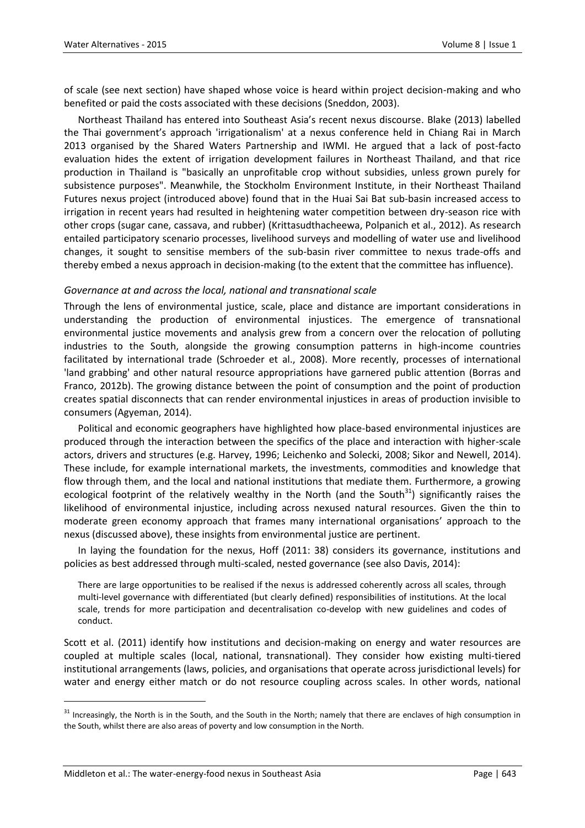of scale (see next section) have shaped whose voice is heard within project decision-making and who benefited or paid the costs associated with these decisions (Sneddon, 2003).

Northeast Thailand has entered into Southeast Asia's recent nexus discourse. Blake (2013) labelled the Thai government's approach 'irrigationalism' at a nexus conference held in Chiang Rai in March 2013 organised by the Shared Waters Partnership and IWMI. He argued that a lack of post-facto evaluation hides the extent of irrigation development failures in Northeast Thailand, and that rice production in Thailand is "basically an unprofitable crop without subsidies, unless grown purely for subsistence purposes". Meanwhile, the Stockholm Environment Institute, in their Northeast Thailand Futures nexus project (introduced above) found that in the Huai Sai Bat sub-basin increased access to irrigation in recent years had resulted in heightening water competition between dry-season rice with other crops (sugar cane, cassava, and rubber) (Krittasudthacheewa, Polpanich et al., 2012). As research entailed participatory scenario processes, livelihood surveys and modelling of water use and livelihood changes, it sought to sensitise members of the sub-basin river committee to nexus trade-offs and thereby embed a nexus approach in decision-making (to the extent that the committee has influence).

#### *Governance at and across the local, national and transnational scale*

Through the lens of environmental justice, scale, place and distance are important considerations in understanding the production of environmental injustices. The emergence of transnational environmental justice movements and analysis grew from a concern over the relocation of polluting industries to the South, alongside the growing consumption patterns in high-income countries facilitated by international trade (Schroeder et al., 2008). More recently, processes of international 'land grabbing' and other natural resource appropriations have garnered public attention (Borras and Franco, 2012b). The growing distance between the point of consumption and the point of production creates spatial disconnects that can render environmental injustices in areas of production invisible to consumers (Agyeman, 2014).

Political and economic geographers have highlighted how place-based environmental injustices are produced through the interaction between the specifics of the place and interaction with higher-scale actors, drivers and structures (e.g. Harvey, 1996; Leichenko and Solecki, 2008; Sikor and Newell, 2014). These include, for example international markets, the investments, commodities and knowledge that flow through them, and the local and national institutions that mediate them. Furthermore, a growing ecological footprint of the relatively wealthy in the North (and the South $31$ ) significantly raises the likelihood of environmental injustice, including across nexused natural resources. Given the thin to moderate green economy approach that frames many international organisations' approach to the nexus (discussed above), these insights from environmental justice are pertinent.

In laying the foundation for the nexus, Hoff (2011: 38) considers its governance, institutions and policies as best addressed through multi-scaled, nested governance (see also Davis, 2014):

There are large opportunities to be realised if the nexus is addressed coherently across all scales, through multi-level governance with differentiated (but clearly defined) responsibilities of institutions. At the local scale, trends for more participation and decentralisation co-develop with new guidelines and codes of conduct.

Scott et al. (2011) identify how institutions and decision-making on energy and water resources are coupled at multiple scales (local, national, transnational). They consider how existing multi-tiered institutional arrangements (laws, policies, and organisations that operate across jurisdictional levels) for water and energy either match or do not resource coupling across scales. In other words, national

<sup>&</sup>lt;sup>31</sup> Increasingly, the North is in the South, and the South in the North; namely that there are enclaves of high consumption in the South, whilst there are also areas of poverty and low consumption in the North.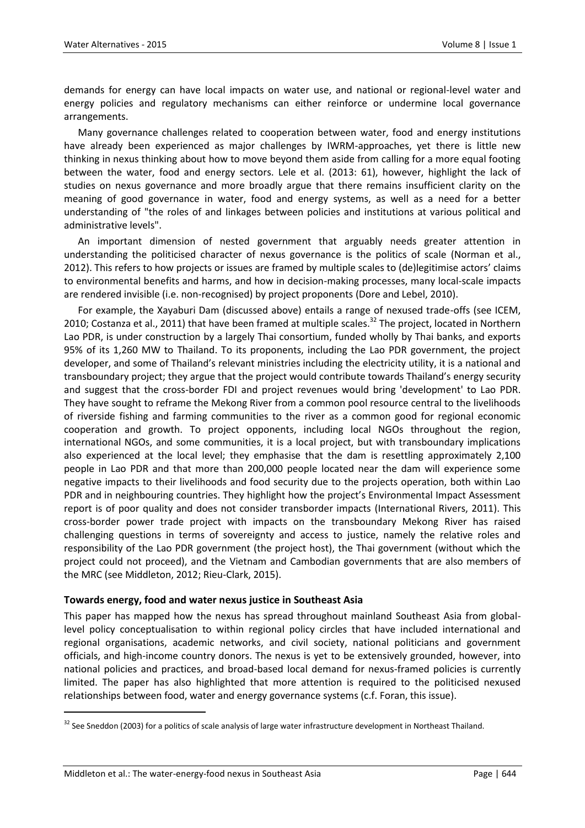demands for energy can have local impacts on water use, and national or regional-level water and energy policies and regulatory mechanisms can either reinforce or undermine local governance arrangements.

Many governance challenges related to cooperation between water, food and energy institutions have already been experienced as major challenges by IWRM-approaches, yet there is little new thinking in nexus thinking about how to move beyond them aside from calling for a more equal footing between the water, food and energy sectors. Lele et al. (2013: 61), however, highlight the lack of studies on nexus governance and more broadly argue that there remains insufficient clarity on the meaning of good governance in water, food and energy systems, as well as a need for a better understanding of "the roles of and linkages between policies and institutions at various political and administrative levels".

An important dimension of nested government that arguably needs greater attention in understanding the politicised character of nexus governance is the politics of scale (Norman et al., 2012). This refers to how projects or issues are framed by multiple scales to (de)legitimise actors' claims to environmental benefits and harms, and how in decision-making processes, many local-scale impacts are rendered invisible (i.e. non-recognised) by project proponents (Dore and Lebel, 2010).

For example, the Xayaburi Dam (discussed above) entails a range of nexused trade-offs (see ICEM, 2010; Costanza et al., 2011) that have been framed at multiple scales.<sup>32</sup> The project, located in Northern Lao PDR, is under construction by a largely Thai consortium, funded wholly by Thai banks, and exports 95% of its 1,260 MW to Thailand. To its proponents, including the Lao PDR government, the project developer, and some of Thailand's relevant ministries including the electricity utility, it is a national and transboundary project; they argue that the project would contribute towards Thailand's energy security and suggest that the cross-border FDI and project revenues would bring 'development' to Lao PDR. They have sought to reframe the Mekong River from a common pool resource central to the livelihoods of riverside fishing and farming communities to the river as a common good for regional economic cooperation and growth. To project opponents, including local NGOs throughout the region, international NGOs, and some communities, it is a local project, but with transboundary implications also experienced at the local level; they emphasise that the dam is resettling approximately 2,100 people in Lao PDR and that more than 200,000 people located near the dam will experience some negative impacts to their livelihoods and food security due to the projects operation, both within Lao PDR and in neighbouring countries. They highlight how the project's Environmental Impact Assessment report is of poor quality and does not consider transborder impacts (International Rivers, 2011). This cross-border power trade project with impacts on the transboundary Mekong River has raised challenging questions in terms of sovereignty and access to justice, namely the relative roles and responsibility of the Lao PDR government (the project host), the Thai government (without which the project could not proceed), and the Vietnam and Cambodian governments that are also members of the MRC (see Middleton, 2012; Rieu-Clark, 2015).

#### **Towards energy, food and water nexus justice in Southeast Asia**

This paper has mapped how the nexus has spread throughout mainland Southeast Asia from globallevel policy conceptualisation to within regional policy circles that have included international and regional organisations, academic networks, and civil society, national politicians and government officials, and high-income country donors. The nexus is yet to be extensively grounded, however, into national policies and practices, and broad-based local demand for nexus-framed policies is currently limited. The paper has also highlighted that more attention is required to the politicised nexused relationships between food, water and energy governance systems (c.f. Foran, this issue).

 $\overline{a}$ 

<sup>&</sup>lt;sup>32</sup> See Sneddon (2003) for a politics of scale analysis of large water infrastructure development in Northeast Thailand.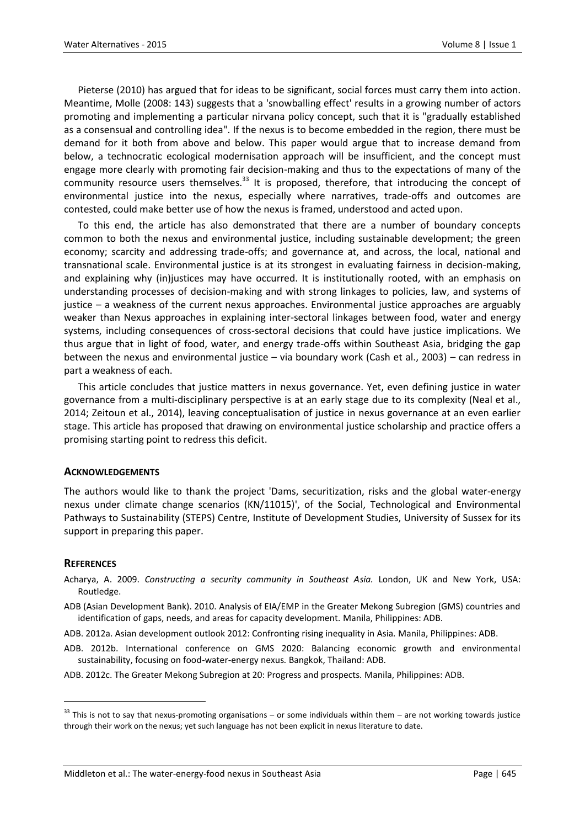Pieterse (2010) has argued that for ideas to be significant, social forces must carry them into action. Meantime, Molle (2008: 143) suggests that a 'snowballing effect' results in a growing number of actors promoting and implementing a particular nirvana policy concept, such that it is "gradually established as a consensual and controlling idea". If the nexus is to become embedded in the region, there must be demand for it both from above and below. This paper would argue that to increase demand from below, a technocratic ecological modernisation approach will be insufficient, and the concept must engage more clearly with promoting fair decision-making and thus to the expectations of many of the community resource users themselves. $33$  It is proposed, therefore, that introducing the concept of environmental justice into the nexus, especially where narratives, trade-offs and outcomes are contested, could make better use of how the nexus is framed, understood and acted upon.

To this end, the article has also demonstrated that there are a number of boundary concepts common to both the nexus and environmental justice, including sustainable development; the green economy; scarcity and addressing trade-offs; and governance at, and across, the local, national and transnational scale. Environmental justice is at its strongest in evaluating fairness in decision-making, and explaining why (in)justices may have occurred. It is institutionally rooted, with an emphasis on understanding processes of decision-making and with strong linkages to policies, law, and systems of justice – a weakness of the current nexus approaches. Environmental justice approaches are arguably weaker than Nexus approaches in explaining inter-sectoral linkages between food, water and energy systems, including consequences of cross-sectoral decisions that could have justice implications. We thus argue that in light of food, water, and energy trade-offs within Southeast Asia, bridging the gap between the nexus and environmental justice – via boundary work (Cash et al., 2003) – can redress in part a weakness of each.

This article concludes that justice matters in nexus governance. Yet, even defining justice in water governance from a multi-disciplinary perspective is at an early stage due to its complexity (Neal et al., 2014; Zeitoun et al., 2014), leaving conceptualisation of justice in nexus governance at an even earlier stage. This article has proposed that drawing on environmental justice scholarship and practice offers a promising starting point to redress this deficit.

#### **ACKNOWLEDGEMENTS**

The authors would like to thank the project 'Dams, securitization, risks and the global water-energy nexus under climate change scenarios (KN/11015)', of the Social, Technological and Environmental Pathways to Sustainability (STEPS) Centre, Institute of Development Studies, University of Sussex for its support in preparing this paper.

#### **REFERENCES**

 $\ddot{\phantom{a}}$ 

- Acharya, A. 2009. *Constructing a security community in Southeast Asia.* London, UK and New York, USA: Routledge.
- ADB (Asian Development Bank). 2010. Analysis of EIA/EMP in the Greater Mekong Subregion (GMS) countries and identification of gaps, needs, and areas for capacity development*.* Manila, Philippines: ADB.

ADB. 2012a. Asian development outlook 2012: Confronting rising inequality in Asia*.* Manila, Philippines: ADB.

- ADB. 2012b. International conference on GMS 2020: Balancing economic growth and environmental sustainability, focusing on food-water-energy nexus*.* Bangkok, Thailand: ADB.
- ADB. 2012c. The Greater Mekong Subregion at 20: Progress and prospects*.* Manila, Philippines: ADB.

 $33$  This is not to say that nexus-promoting organisations – or some individuals within them – are not working towards justice through their work on the nexus; yet such language has not been explicit in nexus literature to date.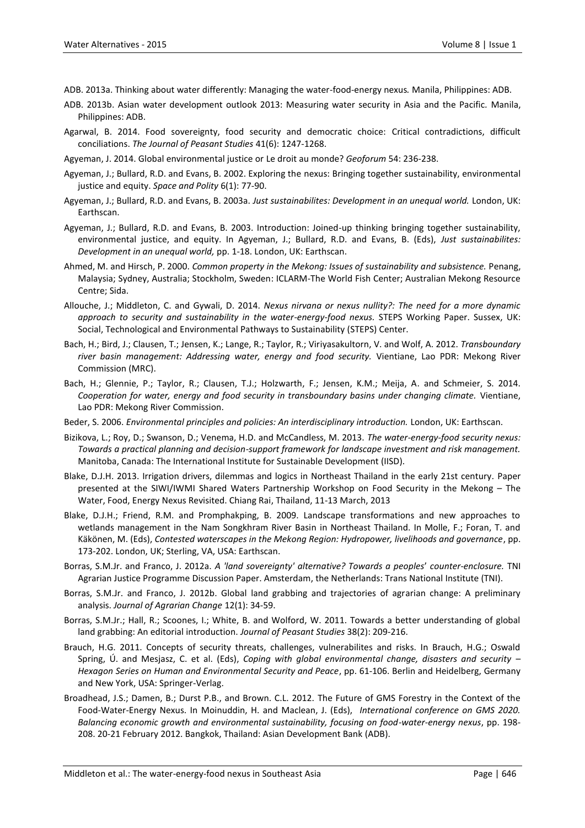- ADB. 2013a. Thinking about water differently: Managing the water-food-energy nexus*.* Manila, Philippines: ADB.
- ADB. 2013b. Asian water development outlook 2013: Measuring water security in Asia and the Pacific*.* Manila, Philippines: ADB.
- Agarwal, B. 2014. Food sovereignty, food security and democratic choice: Critical contradictions, difficult conciliations. *The Journal of Peasant Studies* 41(6): 1247-1268.
- Agyeman, J. 2014. Global environmental justice or Le droit au monde? *Geoforum* 54: 236-238.
- Agyeman, J.; Bullard, R.D. and Evans, B. 2002. Exploring the nexus: Bringing together sustainability, environmental justice and equity. *Space and Polity* 6(1): 77-90.
- Agyeman, J.; Bullard, R.D. and Evans, B. 2003a. *Just sustainabilites: Development in an unequal world.* London, UK: Earthscan.
- Agyeman, J.; Bullard, R.D. and Evans, B. 2003. Introduction: Joined-up thinking bringing together sustainability, environmental justice, and equity. In Agyeman, J.; Bullard, R.D. and Evans, B. (Eds), *Just sustainabilites: Development in an unequal world,* pp. 1-18. London, UK: Earthscan.
- Ahmed, M. and Hirsch, P. 2000. *Common property in the Mekong: Issues of sustainability and subsistence.* Penang, Malaysia; Sydney, Australia; Stockholm, Sweden: ICLARM-The World Fish Center; Australian Mekong Resource Centre; Sida.
- Allouche, J.; Middleton, C. and Gywali, D. 2014. *Nexus nirvana or nexus nullity?: The need for a more dynamic approach to security and sustainability in the water-energy-food nexus.* STEPS Working Paper. Sussex, UK: Social, Technological and Environmental Pathways to Sustainability (STEPS) Center.
- Bach, H.; Bird, J.; Clausen, T.; Jensen, K.; Lange, R.; Taylor, R.; Viriyasakultorn, V. and Wolf, A. 2012. *Transboundary river basin management: Addressing water, energy and food security.* Vientiane, Lao PDR: Mekong River Commission (MRC).
- Bach, H.; Glennie, P.; Taylor, R.; Clausen, T.J.; Holzwarth, F.; Jensen, K.M.; Meija, A. and Schmeier, S. 2014. *Cooperation for water, energy and food security in transboundary basins under changing climate.* Vientiane, Lao PDR: Mekong River Commission.
- Beder, S. 2006. *Environmental principles and policies: An interdisciplinary introduction.* London, UK: Earthscan.
- Bizikova, L.; Roy, D.; Swanson, D.; Venema, H.D. and McCandless, M. 2013. *The water-energy-food security nexus: Towards a practical planning and decision-support framework for landscape investment and risk management.*  Manitoba, Canada: The International Institute for Sustainable Development (IISD).
- Blake, D.J.H. 2013. Irrigation drivers, dilemmas and logics in Northeast Thailand in the early 21st century*.* Paper presented at the SIWI/IWMI Shared Waters Partnership Workshop on Food Security in the Mekong – The Water, Food, Energy Nexus Revisited. Chiang Rai, Thailand, 11-13 March, 2013
- Blake, D.J.H.; Friend, R.M. and Promphakping, B. 2009. Landscape transformations and new approaches to wetlands management in the Nam Songkhram River Basin in Northeast Thailand. In Molle, F.; Foran, T. and Käkönen, M. (Eds), *Contested waterscapes in the Mekong Region: Hydropower, livelihoods and governance*, pp. 173-202. London, UK; Sterling, VA, USA: Earthscan.
- Borras, S.M.Jr. and Franco, J. 2012a. *A 'land sovereignty' alternative? Towards a peoples*' *counter-enclosure.* TNI Agrarian Justice Programme Discussion Paper. Amsterdam, the Netherlands: Trans National Institute (TNI).
- Borras, S.M.Jr. and Franco, J. 2012b. Global land grabbing and trajectories of agrarian change: A preliminary analysis. *Journal of Agrarian Change* 12(1): 34-59.
- Borras, S.M.Jr.; Hall, R.; Scoones, I.; White, B. and Wolford, W. 2011. Towards a better understanding of global land grabbing: An editorial introduction. *Journal of Peasant Studies* 38(2): 209-216.
- Brauch, H.G. 2011. Concepts of security threats, challenges, vulnerabilites and risks. In Brauch, H.G.; Oswald Spring, Ú. and Mesjasz, C. et al. (Eds), *Coping with global environmental change, disasters and security* – *Hexagon Series on Human and Environmental Security and Peace*, pp. 61-106. Berlin and Heidelberg, Germany and New York, USA: Springer-Verlag.
- Broadhead, J.S.; Damen, B.; Durst P.B., and Brown. C.L. 2012. The Future of GMS Forestry in the Context of the Food-Water-Energy Nexus. In Moinuddin, H. and Maclean, J. (Eds), *International conference on GMS 2020. Balancing economic growth and environmental sustainability, focusing on food-water-energy nexus*, pp. 198- 208. 20-21 February 2012. Bangkok, Thailand: Asian Development Bank (ADB).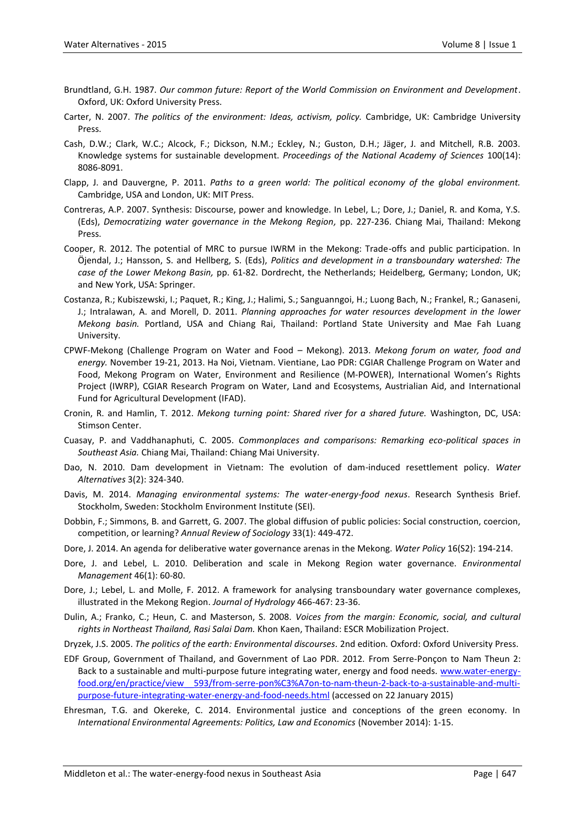- Brundtland, G.H. 1987. *Our common future: Report of the World Commission on Environment and Development*. Oxford, UK: Oxford University Press.
- Carter, N. 2007. *The politics of the environment: Ideas, activism, policy.* Cambridge, UK: Cambridge University Press.
- Cash, D.W.; Clark, W.C.; Alcock, F.; Dickson, N.M.; Eckley, N.; Guston, D.H.; Jäger, J. and Mitchell, R.B. 2003. Knowledge systems for sustainable development. *Proceedings of the National Academy of Sciences* 100(14): 8086-8091.
- Clapp, J. and Dauvergne, P. 2011. *Paths to a green world: The political economy of the global environment.* Cambridge, USA and London, UK: MIT Press.
- Contreras, A.P. 2007. Synthesis: Discourse, power and knowledge. In Lebel, L.; Dore, J.; Daniel, R. and Koma, Y.S. (Eds), *Democratizing water governance in the Mekong Region,* pp. 227-236. Chiang Mai, Thailand: Mekong Press.
- Cooper, R. 2012. The potential of MRC to pursue IWRM in the Mekong: Trade-offs and public participation. In Öjendal, J.; Hansson, S. and Hellberg, S. (Eds), *Politics and development in a transboundary watershed: The case of the Lower Mekong Basin,* pp. 61-82. Dordrecht, the Netherlands; Heidelberg, Germany; London, UK; and New York, USA: Springer.
- Costanza, R.; Kubiszewski, I.; Paquet, R.; King, J.; Halimi, S.; Sanguanngoi, H.; Luong Bach, N.; Frankel, R.; Ganaseni, J.; Intralawan, A. and Morell, D. 2011. *Planning approaches for water resources development in the lower Mekong basin.* Portland, USA and Chiang Rai, Thailand: Portland State University and Mae Fah Luang University.
- CPWF-Mekong (Challenge Program on Water and Food Mekong). 2013. *Mekong forum on water, food and energy.* November 19-21, 2013. Ha Noi, Vietnam. Vientiane, Lao PDR: CGIAR Challenge Program on Water and Food, Mekong Program on Water, Environment and Resilience (M-POWER), International Women's Rights Project (IWRP), CGIAR Research Program on Water, Land and Ecosystems, Austrialian Aid, and International Fund for Agricultural Development (IFAD).
- Cronin, R. and Hamlin, T. 2012. *Mekong turning point: Shared river for a shared future.* Washington, DC, USA: Stimson Center.
- Cuasay, P. and Vaddhanaphuti, C. 2005. *Commonplaces and comparisons: Remarking eco-political spaces in Southeast Asia.* Chiang Mai, Thailand: Chiang Mai University.
- Dao, N. 2010. Dam development in Vietnam: The evolution of dam-induced resettlement policy. *Water Alternatives* 3(2): 324-340.
- Davis, M. 2014. *Managing environmental systems: The water-energy-food nexus*. Research Synthesis Brief. Stockholm, Sweden: Stockholm Environment Institute (SEI).
- Dobbin, F.; Simmons, B. and Garrett, G. 2007. The global diffusion of public policies: Social construction, coercion, competition, or learning? *Annual Review of Sociology* 33(1): 449-472.
- Dore, J. 2014. An agenda for deliberative water governance arenas in the Mekong. *Water Policy* 16(S2): 194-214.
- Dore, J. and Lebel, L. 2010. Deliberation and scale in Mekong Region water governance. *Environmental Management* 46(1): 60-80.
- Dore, J.; Lebel, L. and Molle, F. 2012. A framework for analysing transboundary water governance complexes, illustrated in the Mekong Region. *Journal of Hydrology* 466-467: 23-36.
- Dulin, A.; Franko, C.; Heun, C. and Masterson, S. 2008. *Voices from the margin: Economic, social, and cultural rights in Northeast Thailand, Rasi Salai Dam.* Khon Kaen, Thailand: ESCR Mobilization Project.
- Dryzek, J.S. 2005. *The politics of the earth: Environmental discourses.* 2nd edition*.* Oxford: Oxford University Press.
- EDF Group, Government of Thailand, and Government of Lao PDR. 2012. From Serre-Ponçon to Nam Theun 2: Back to a sustainable and multi-purpose future integrating water, energy and food needs*.* [www.water-energy](http://www.water-energy-food.org/en/practice/view__593/from-serre-pon%C3%A7on-to-nam-theun-2-back-to-a-sustainable-and-multi-purpose-future-integrating-water-energy-and-food-needs.html)[food.org/en/practice/view\\_\\_593/from-serre-pon%C3%A7on-to-nam-theun-2-back-to-a-sustainable-and-multi](http://www.water-energy-food.org/en/practice/view__593/from-serre-pon%C3%A7on-to-nam-theun-2-back-to-a-sustainable-and-multi-purpose-future-integrating-water-energy-and-food-needs.html)[purpose-future-integrating-water-energy-and-food-needs.html](http://www.water-energy-food.org/en/practice/view__593/from-serre-pon%C3%A7on-to-nam-theun-2-back-to-a-sustainable-and-multi-purpose-future-integrating-water-energy-and-food-needs.html) (accessed on 22 January 2015)
- Ehresman, T.G. and Okereke, C. 2014. Environmental justice and conceptions of the green economy. In *International Environmental Agreements: Politics, Law and Economics* (November 2014): 1-15.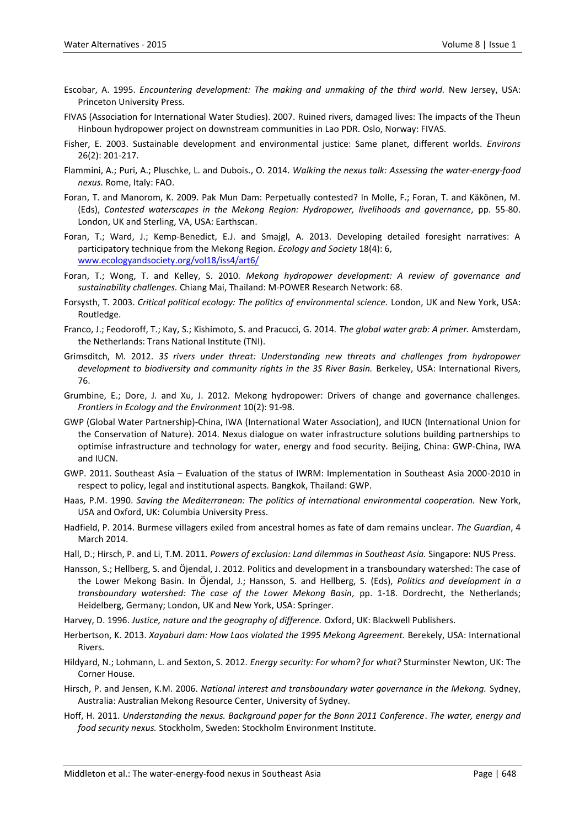- Escobar, A. 1995. *Encountering development: The making and unmaking of the third world.* New Jersey, USA: Princeton University Press.
- FIVAS (Association for International Water Studies). 2007. Ruined rivers, damaged lives: The impacts of the Theun Hinboun hydropower project on downstream communities in Lao PDR*.* Oslo, Norway: FIVAS.
- Fisher, E. 2003. Sustainable development and environmental justice: Same planet, different worlds. *Environs* 26(2): 201-217.
- Flammini, A.; Puri, A.; Pluschke, L. and Dubois., O. 2014. *Walking the nexus talk: Assessing the water-energy-food nexus.* Rome, Italy: FAO.
- Foran, T. and Manorom, K. 2009. Pak Mun Dam: Perpetually contested? In Molle, F.; Foran, T. and Käkönen, M. (Eds), *Contested waterscapes in the Mekong Region: Hydropower, livelihoods and governance,* pp. 55-80. London, UK and Sterling, VA, USA: Earthscan.
- Foran, T.; Ward, J.; Kemp-Benedict, E.J. and Smajgl, A. 2013. Developing detailed foresight narratives: A participatory technique from the Mekong Region. *Ecology and Society* 18(4): 6, [www.ecologyandsociety.org/vol18/iss4/art6/](http://www.ecologyandsociety.org/vol18/iss4/art6/)
- Foran, T.; Wong, T. and Kelley, S. 2010. *Mekong hydropower development: A review of governance and sustainability challenges.* Chiang Mai, Thailand: M-POWER Research Network: 68.
- Forsysth, T. 2003. *Critical political ecology: The politics of environmental science.* London, UK and New York, USA: Routledge.
- Franco, J.; Feodoroff, T.; Kay, S.; Kishimoto, S. and Pracucci, G. 2014. *The global water grab: A primer.* Amsterdam, the Netherlands: Trans National Institute (TNI).
- Grimsditch, M. 2012. *3S rivers under threat: Understanding new threats and challenges from hydropower development to biodiversity and community rights in the 3S River Basin.* Berkeley, USA: International Rivers, 76.
- Grumbine, E.; Dore, J. and Xu, J. 2012. Mekong hydropower: Drivers of change and governance challenges. *Frontiers in Ecology and the Environment* 10(2): 91-98.
- GWP (Global Water Partnership)-China, IWA (International Water Association), and IUCN (International Union for the Conservation of Nature). 2014. Nexus dialogue on water infrastructure solutions building partnerships to optimise infrastructure and technology for water, energy and food security*.* Beijing, China: GWP-China, IWA and IUCN.
- GWP. 2011. Southeast Asia Evaluation of the status of IWRM: Implementation in Southeast Asia 2000-2010 in respect to policy, legal and institutional aspects*.* Bangkok, Thailand: GWP.
- Haas, P.M. 1990. *Saving the Mediterranean: The politics of international environmental cooperation.* New York, USA and Oxford, UK: Columbia University Press.
- Hadfield, P. 2014. Burmese villagers exiled from ancestral homes as fate of dam remains unclear. *The Guardian*, 4 March 2014.
- Hall, D.; Hirsch, P. and Li, T.M. 2011. *Powers of exclusion: Land dilemmas in Southeast Asia.* Singapore: NUS Press.
- Hansson, S.; Hellberg, S. and Öjendal, J. 2012. Politics and development in a transboundary watershed: The case of the Lower Mekong Basin. In Öjendal, J.; Hansson, S. and Hellberg, S. (Eds), *Politics and development in a transboundary watershed: The case of the Lower Mekong Basin,* pp. 1-18. Dordrecht, the Netherlands; Heidelberg, Germany; London, UK and New York, USA: Springer.

Harvey, D. 1996. *Justice, nature and the geography of difference.* Oxford, UK: Blackwell Publishers.

- Herbertson, K. 2013. *Xayaburi dam: How Laos violated the 1995 Mekong Agreement.* Berekely, USA: International Rivers.
- Hildyard, N.; Lohmann, L. and Sexton, S. 2012. *Energy security: For whom? for what?* Sturminster Newton, UK: The Corner House.
- Hirsch, P. and Jensen, K.M. 2006. *National interest and transboundary water governance in the Mekong.* Sydney, Australia: Australian Mekong Resource Center, University of Sydney.
- Hoff, H. 2011. *Understanding the nexus. Background paper for the Bonn 2011 Conference*. *The water, energy and food security nexus.* Stockholm, Sweden: Stockholm Environment Institute.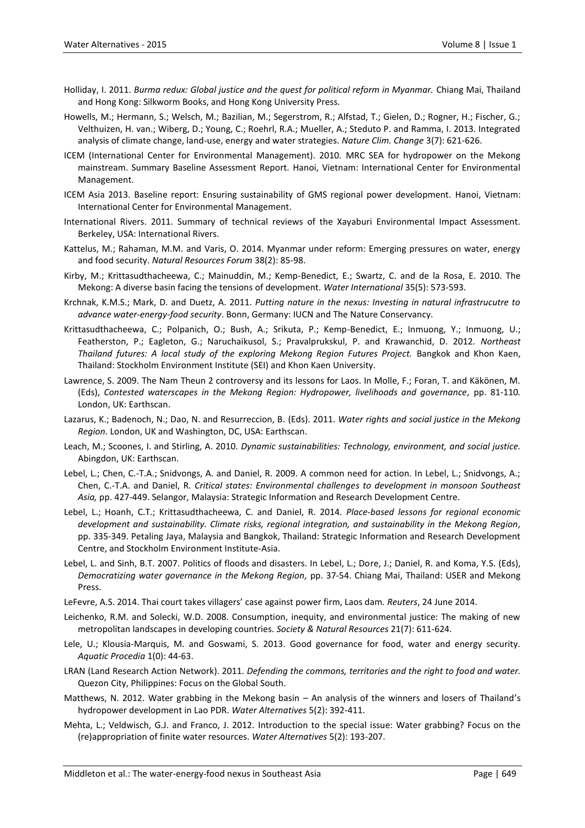- Holliday, I. 2011. *Burma redux: Global justice and the quest for political reform in Myanmar.* Chiang Mai, Thailand and Hong Kong: Silkworm Books, and Hong Kong University Press.
- Howells, M.; Hermann, S.; Welsch, M.; Bazilian, M.; Segerstrom, R.; Alfstad, T.; Gielen, D.; Rogner, H.; Fischer, G.; Velthuizen, H. van.; Wiberg, D.; Young, C.; Roehrl, R.A.; Mueller, A.; Steduto P. and Ramma, I. 2013. Integrated analysis of climate change, land-use, energy and water strategies. *Nature Clim. Change* 3(7): 621-626.
- ICEM (International Center for Environmental Management). 2010. MRC SEA for hydropower on the Mekong mainstream. Summary Baseline Assessment Report*.* Hanoi, Vietnam: International Center for Environmental Management.
- ICEM Asia 2013. Baseline report: Ensuring sustainability of GMS regional power development*.* Hanoi, Vietnam: International Center for Environmental Management.
- International Rivers. 2011. Summary of technical reviews of the Xayaburi Environmental Impact Assessment. Berkeley, USA: International Rivers.
- Kattelus, M.; Rahaman, M.M. and Varis, O. 2014. Myanmar under reform: Emerging pressures on water, energy and food security. *Natural Resources Forum* 38(2): 85-98.
- Kirby, M.; Krittasudthacheewa, C.; Mainuddin, M.; Kemp-Benedict, E.; Swartz, C. and de la Rosa, E. 2010. The Mekong: A diverse basin facing the tensions of development. *Water International* 35(5): 573-593.
- Krchnak, K.M.S.; Mark, D. and Duetz, A. 2011. *Putting nature in the nexus: Investing in natural infrastrucutre to advance water-energy-food security*. Bonn, Germany: IUCN and The Nature Conservancy.
- Krittasudthacheewa, C.; Polpanich, O.; Bush, A.; Srikuta, P.; Kemp-Benedict, E.; Inmuong, Y.; Inmuong, U.; Featherston, P.; Eagleton, G.; Naruchaikusol, S.; Pravalprukskul, P. and Krawanchid, D. 2012. *Northeast Thailand futures: A local study of the exploring Mekong Region Futures Project.* Bangkok and Khon Kaen, Thailand: Stockholm Environment Institute (SEI) and Khon Kaen University.
- Lawrence, S. 2009. The Nam Theun 2 controversy and its lessons for Laos. In Molle, F.; Foran, T. and Käkönen, M. (Eds), *Contested waterscapes in the Mekong Region: Hydropower, livelihoods and governance,* pp. 81-110*.* London, UK: Earthscan.
- Lazarus, K.; Badenoch, N.; Dao, N. and Resurreccion, B. (Eds). 2011. *Water rights and social justice in the Mekong Region.* London, UK and Washington, DC, USA: Earthscan.
- Leach, M.; Scoones, I. and Stirling, A. 2010. *Dynamic sustainabilities: Technology, environment, and social justice.* Abingdon, UK: Earthscan.
- Lebel, L.; Chen, C.-T.A.; Snidvongs, A. and Daniel, R. 2009. A common need for action. In Lebel, L.; Snidvongs, A.; Chen, C.-T.A. and Daniel, R. *Critical states: Environmental challenges to development in monsoon Southeast Asia,* pp. 427-449. Selangor, Malaysia: Strategic Information and Research Development Centre.
- Lebel, L.; Hoanh, C.T.; Krittasudthacheewa, C. and Daniel, R. 2014. *Place-based lessons for regional economic development and sustainability. Climate risks, regional integration, and sustainability in the Mekong Region,*  pp. 335-349. Petaling Jaya, Malaysia and Bangkok, Thailand: Strategic Information and Research Development Centre, and Stockholm Environment Institute-Asia.
- Lebel, L. and Sinh, B.T. 2007. Politics of floods and disasters. In Lebel, L.; Dore, J.; Daniel, R. and Koma, Y.S. (Eds), *Democratizing water governance in the Mekong Region,* pp. 37-54. Chiang Mai, Thailand: USER and Mekong Press.
- LeFevre, A.S. 2014. Thai court takes villagers' case against power firm, Laos dam*. Reuters*, 24 June 2014.
- Leichenko, R.M. and Solecki, W.D. 2008. Consumption, inequity, and environmental justice: The making of new metropolitan landscapes in developing countries. *Society & Natural Resources* 21(7): 611-624.
- Lele, U.; Klousia-Marquis, M. and Goswami, S. 2013. Good governance for food, water and energy security. *Aquatic Procedia* 1(0): 44-63.
- LRAN (Land Research Action Network). 2011. *Defending the commons, territories and the right to food and water.* Quezon City, Philippines: Focus on the Global South.
- Matthews, N. 2012. Water grabbing in the Mekong basin An analysis of the winners and losers of Thailand's hydropower development in Lao PDR. *Water Alternatives* 5(2): 392-411.
- Mehta, L.; Veldwisch, G.J. and Franco, J. 2012. Introduction to the special issue: Water grabbing? Focus on the (re)appropriation of finite water resources. *Water Alternatives* 5(2): 193-207.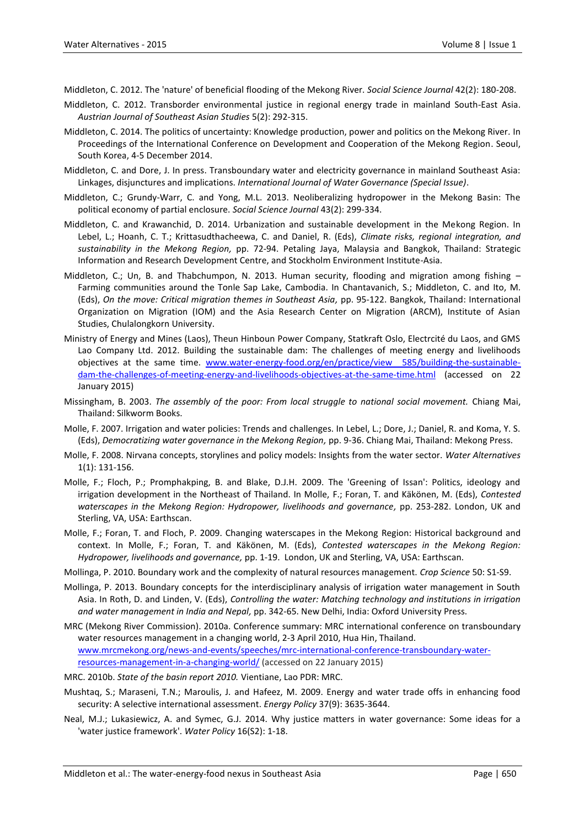Middleton, C. 2012. The 'nature' of beneficial flooding of the Mekong River. *Social Science Journal* 42(2): 180-208.

- Middleton, C. 2012. Transborder environmental justice in regional energy trade in mainland South-East Asia. *Austrian Journal of Southeast Asian Studies* 5(2): 292-315.
- Middleton, C. 2014. The politics of uncertainty: Knowledge production, power and politics on the Mekong River*.* In Proceedings of the International Conference on Development and Cooperation of the Mekong Region. Seoul, South Korea, 4-5 December 2014.
- Middleton, C. and Dore, J. In press. Transboundary water and electricity governance in mainland Southeast Asia: Linkages, disjunctures and implications. *International Journal of Water Governance (Special Issue)*.
- Middleton, C.; Grundy-Warr, C. and Yong, M.L. 2013. Neoliberalizing hydropower in the Mekong Basin: The political economy of partial enclosure. *Social Science Journal* 43(2): 299-334.
- Middleton, C. and Krawanchid, D. 2014. Urbanization and sustainable development in the Mekong Region. In Lebel, L.; Hoanh, C. T.; Krittasudthacheewa, C. and Daniel, R. (Eds), *Climate risks, regional integration, and sustainability in the Mekong Region,* pp. 72-94. Petaling Jaya, Malaysia and Bangkok, Thailand: Strategic Information and Research Development Centre, and Stockholm Environment Institute-Asia.
- Middleton, C.; Un, B. and Thabchumpon, N. 2013. Human security, flooding and migration among fishing -Farming communities around the Tonle Sap Lake, Cambodia. In Chantavanich, S.; Middleton, C. and Ito, M. (Eds), *On the move: Critical migration themes in Southeast Asia,* pp. 95-122. Bangkok, Thailand: International Organization on Migration (IOM) and the Asia Research Center on Migration (ARCM), Institute of Asian Studies, Chulalongkorn University.
- Ministry of Energy and Mines (Laos), Theun Hinboun Power Company, Statkraft Oslo, Electrcité du Laos, and GMS Lao Company Ltd. 2012. Building the sustainable dam: The challenges of meeting energy and livelihoods objectives at the same time. www.water-energy-food.org/en/practice/view 585/building-the-sustainable[dam-the-challenges-of-meeting-energy-and-livelihoods-objectives-at-the-same-time.html](http://www.water-energy-food.org/en/practice/view__585/building-the-sustainable-dam-the-challenges-of-meeting-energy-and-livelihoods-objectives-at-the-same-time.html) (accessed on 22 January 2015)
- Missingham, B. 2003. *The assembly of the poor: From local struggle to national social movement.* Chiang Mai, Thailand: Silkworm Books.
- Molle, F. 2007. Irrigation and water policies: Trends and challenges. In Lebel, L.; Dore, J.; Daniel, R. and Koma, Y. S. (Eds), *Democratizing water governance in the Mekong Region,* pp. 9-36. Chiang Mai, Thailand: Mekong Press.
- Molle, F. 2008. Nirvana concepts, storylines and policy models: Insights from the water sector. *Water Alternatives* 1(1): 131-156.
- Molle, F.; Floch, P.; Promphakping, B. and Blake, D.J.H. 2009. The 'Greening of Issan': Politics, ideology and irrigation development in the Northeast of Thailand. In Molle, F.; Foran, T. and Käkönen, M. (Eds), *Contested waterscapes in the Mekong Region: Hydropower, livelihoods and governance,* pp. 253-282. London, UK and Sterling, VA, USA: Earthscan.
- Molle, F.; Foran, T. and Floch, P. 2009. Changing waterscapes in the Mekong Region: Historical background and context. In Molle, F.; Foran, T. and Käkönen, M. (Eds), *Contested waterscapes in the Mekong Region: Hydropower, livelihoods and governance,* pp. 1-19. London, UK and Sterling, VA, USA: Earthscan.
- Mollinga, P. 2010. Boundary work and the complexity of natural resources management. *Crop Science* 50: S1-S9.
- Mollinga, P. 2013. Boundary concepts for the interdisciplinary analysis of irrigation water management in South Asia. In Roth, D. and Linden, V. (Eds), *Controlling the water: Matching technology and institutions in irrigation and water management in India and Nepal,* pp. 342-65. New Delhi, India: Oxford University Press.
- MRC (Mekong River Commission). 2010a. Conference summary: MRC international conference on transboundary water resources management in a changing world, 2-3 April 2010, Hua Hin, Thailand. [www.mrcmekong.org/news-and-events/speeches/mrc-international-conference-transboundary-water](http://www.mrcmekong.org/news-and-events/speeches/mrc-international-conference-transboundary-water-resources-management-in-a-changing-world/)[resources-management-in-a-changing-world/](http://www.mrcmekong.org/news-and-events/speeches/mrc-international-conference-transboundary-water-resources-management-in-a-changing-world/) (accessed on 22 January 2015)
- MRC. 2010b. *State of the basin report 2010.* Vientiane, Lao PDR: MRC.
- Mushtaq, S.; Maraseni, T.N.; Maroulis, J. and Hafeez, M. 2009. Energy and water trade offs in enhancing food security: A selective international assessment. *Energy Policy* 37(9): 3635-3644.
- Neal, M.J.; Lukasiewicz, A. and Symec, G.J. 2014. Why justice matters in water governance: Some ideas for a 'water justice framework'. *Water Policy* 16(S2): 1-18.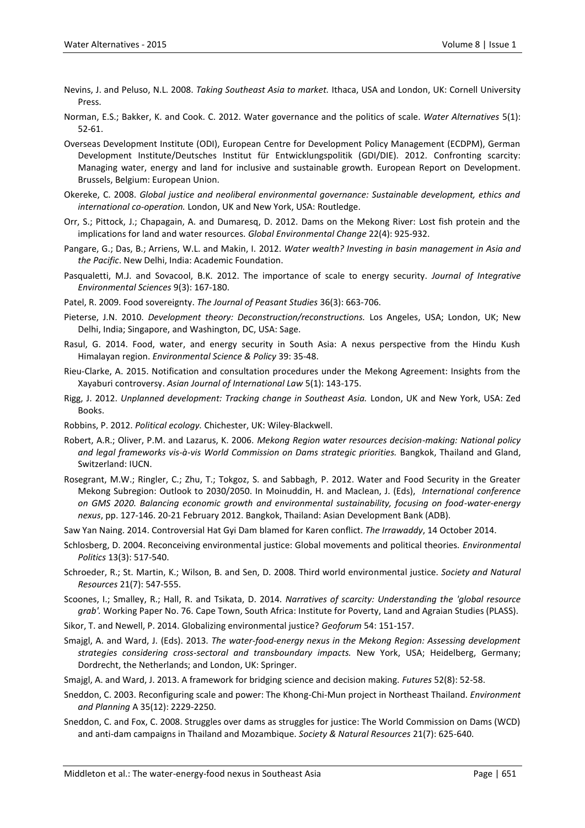- Nevins, J. and Peluso, N.L. 2008. *Taking Southeast Asia to market.* Ithaca, USA and London, UK: Cornell University Press.
- Norman, E.S.; Bakker, K. and Cook. C. 2012. Water governance and the politics of scale. *Water Alternatives* 5(1): 52-61.
- Overseas Development Institute (ODI), European Centre for Development Policy Management (ECDPM), German Development Institute/Deutsches Institut für Entwicklungspolitik (GDI/DIE). 2012. Confronting scarcity: Managing water, energy and land for inclusive and sustainable growth*.* European Report on Development. Brussels, Belgium: European Union.
- Okereke, C. 2008. *Global justice and neoliberal environmental governance: Sustainable development, ethics and international co-operation.* London, UK and New York, USA: Routledge.
- Orr, S.; Pittock, J.; Chapagain, A. and Dumaresq, D. 2012. Dams on the Mekong River: Lost fish protein and the implications for land and water resources. *Global Environmental Change* 22(4): 925-932.
- Pangare, G.; Das, B.; Arriens, W.L. and Makin, I. 2012. *Water wealth? Investing in basin management in Asia and the Pacific*. New Delhi, India: Academic Foundation.
- Pasqualetti, M.J. and Sovacool, B.K. 2012. The importance of scale to energy security. *Journal of Integrative Environmental Sciences* 9(3): 167-180.
- Patel, R. 2009. Food sovereignty. *The Journal of Peasant Studies* 36(3): 663-706.
- Pieterse, J.N. 2010. *Development theory: Deconstruction/reconstructions.* Los Angeles, USA; London, UK; New Delhi, India; Singapore, and Washington, DC, USA: Sage.
- Rasul, G. 2014. Food, water, and energy security in South Asia: A nexus perspective from the Hindu Kush Himalayan region. *Environmental Science & Policy* 39: 35-48.
- Rieu-Clarke, A. 2015. Notification and consultation procedures under the Mekong Agreement: Insights from the Xayaburi controversy. *Asian Journal of International Law* 5(1): 143-175.
- Rigg, J. 2012. *Unplanned development: Tracking change in Southeast Asia.* London, UK and New York, USA: Zed Books.
- Robbins, P. 2012. *Political ecology.* Chichester, UK: Wiley-Blackwell.
- Robert, A.R.; Oliver, P.M. and Lazarus, K. 2006. *Mekong Region water resources decision-making: National policy and legal frameworks vis-à-vis World Commission on Dams strategic priorities.* Bangkok, Thailand and Gland, Switzerland: IUCN.
- Rosegrant, M.W.; Ringler, C.; Zhu, T.; Tokgoz, S. and Sabbagh, P. 2012. Water and Food Security in the Greater Mekong Subregion: Outlook to 2030/2050. In Moinuddin, H. and Maclean, J. (Eds), *International conference on GMS 2020. Balancing economic growth and environmental sustainability, focusing on food-water-energy nexus*, pp. 127-146. 20-21 February 2012. Bangkok, Thailand: Asian Development Bank (ADB).
- Saw Yan Naing. 2014. Controversial Hat Gyi Dam blamed for Karen conflict. *The Irrawaddy*, 14 October 2014.
- Schlosberg, D. 2004. Reconceiving environmental justice: Global movements and political theories. *Environmental Politics* 13(3): 517-540.
- Schroeder, R.; St. Martin, K.; Wilson, B. and Sen, D. 2008. Third world environmental justice. *Society and Natural Resources* 21(7): 547-555.
- Scoones, I.; Smalley, R.; Hall, R. and Tsikata, D. 2014. *Narratives of scarcity: Understanding the 'global resource grab'.* Working Paper No. 76. Cape Town, South Africa: Institute for Poverty, Land and Agraian Studies (PLASS).
- Sikor, T. and Newell, P. 2014. Globalizing environmental justice? *Geoforum* 54: 151-157.
- Smajgl, A. and Ward, J. (Eds). 2013. *The water-food-energy nexus in the Mekong Region: Assessing development strategies considering cross-sectoral and transboundary impacts.* New York, USA; Heidelberg, Germany; Dordrecht, the Netherlands; and London, UK: Springer.
- Smajgl, A. and Ward, J. 2013. A framework for bridging science and decision making. *Futures* 52(8): 52-58.
- Sneddon, C. 2003. Reconfiguring scale and power: The Khong-Chi-Mun project in Northeast Thailand. *Environment and Planning* A 35(12): 2229-2250.
- Sneddon, C. and Fox, C. 2008. Struggles over dams as struggles for justice: The World Commission on Dams (WCD) and anti-dam campaigns in Thailand and Mozambique. *Society & Natural Resources* 21(7): 625-640.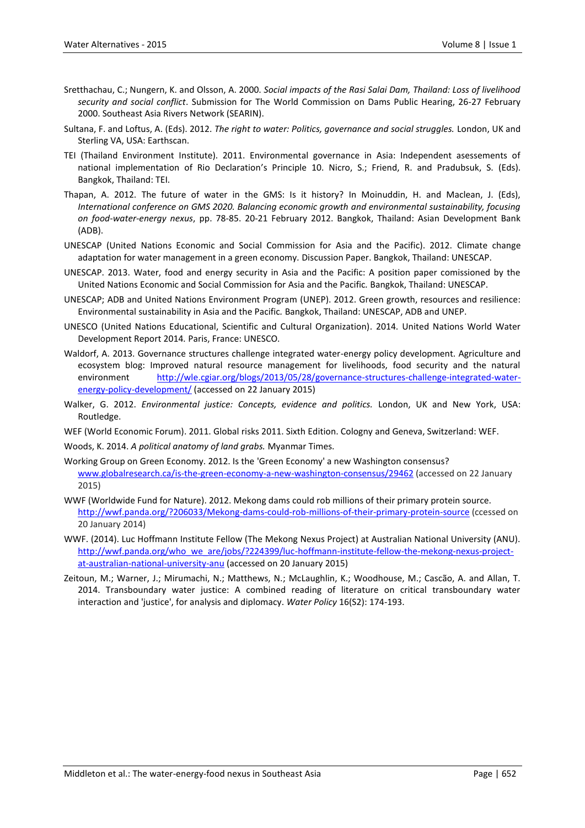- Sretthachau, C.; Nungern, K. and Olsson, A. 2000. *Social impacts of the Rasi Salai Dam, Thailand: Loss of livelihood security and social conflict*. Submission for The World Commission on Dams Public Hearing, 26-27 February 2000. Southeast Asia Rivers Network (SEARIN).
- Sultana, F. and Loftus, A. (Eds). 2012. *The right to water: Politics, governance and social struggles.* London, UK and Sterling VA, USA: Earthscan.
- TEI (Thailand Environment Institute). 2011. Environmental governance in Asia: Independent asessements of national implementation of Rio Declaration's Principle 10. Nicro, S.; Friend, R. and Pradubsuk, S. (Eds). Bangkok, Thailand: TEI.
- Thapan, A. 2012. The future of water in the GMS: Is it history? In Moinuddin, H. and Maclean, J. (Eds), *International conference on GMS 2020. Balancing economic growth and environmental sustainability, focusing on food-water-energy nexus*, pp. 78-85. 20-21 February 2012. Bangkok, Thailand: Asian Development Bank (ADB).
- UNESCAP (United Nations Economic and Social Commission for Asia and the Pacific). 2012. Climate change adaptation for water management in a green economy*.* Discussion Paper. Bangkok, Thailand: UNESCAP.
- UNESCAP. 2013. Water, food and energy security in Asia and the Pacific: A position paper comissioned by the United Nations Economic and Social Commission for Asia and the Pacific*.* Bangkok, Thailand: UNESCAP.
- UNESCAP; ADB and United Nations Environment Program (UNEP). 2012. Green growth, resources and resilience: Environmental sustainability in Asia and the Pacific*.* Bangkok, Thailand: UNESCAP, ADB and UNEP.
- UNESCO (United Nations Educational, Scientific and Cultural Organization). 2014. United Nations World Water Development Report 2014*.* Paris, France: UNESCO.
- Waldorf, A. 2013. Governance structures challenge integrated water-energy policy development. Agriculture and ecosystem blog: Improved natural resource management for livelihoods, food security and the natural environment [http://wle.cgiar.org/blogs/2013/05/28/governance-structures-challenge-integrated-water](http://wle.cgiar.org/blogs/2013/05/28/governance-structures-challenge-integrated-water-energy-policy-development/)[energy-policy-development/](http://wle.cgiar.org/blogs/2013/05/28/governance-structures-challenge-integrated-water-energy-policy-development/) (accessed on 22 January 2015)
- Walker, G. 2012. *Environmental justice: Concepts, evidence and politics.* London, UK and New York, USA: Routledge.
- WEF (World Economic Forum). 2011. Global risks 2011. Sixth Edition. Cologny and Geneva, Switzerland: WEF.
- Woods, K. 2014. *A political anatomy of land grabs.* Myanmar Times.
- Working Group on Green Economy. 2012. Is the 'Green Economy' a new Washington consensus? [www.globalresearch.ca/is-the-green-economy-a-new-washington-consensus/29462](http://www.globalresearch.ca/is-the-green-economy-a-new-washington-consensus/29462) (accessed on 22 January 2015)
- WWF (Worldwide Fund for Nature). 2012. Mekong dams could rob millions of their primary protein source. <http://wwf.panda.org/?206033/Mekong-dams-could-rob-millions-of-their-primary-protein-source> (ccessed on 20 January 2014)
- WWF. (2014). Luc Hoffmann Institute Fellow (The Mekong Nexus Project) at Australian National University (ANU). [http://wwf.panda.org/who\\_we\\_are/jobs/?224399/luc-hoffmann-institute-fellow-the-mekong-nexus-project](http://wwf.panda.org/who_we_are/jobs/?224399/luc-hoffmann-institute-fellow-the-mekong-nexus-project-at-australian-national-university-anu)[at-australian-national-university-anu](http://wwf.panda.org/who_we_are/jobs/?224399/luc-hoffmann-institute-fellow-the-mekong-nexus-project-at-australian-national-university-anu) (accessed on 20 January 2015)
- Zeitoun, M.; Warner, J.; Mirumachi, N.; Matthews, N.; McLaughlin, K.; Woodhouse, M.; Cascão, A. and Allan, T. 2014. Transboundary water justice: A combined reading of literature on critical transboundary water interaction and 'justice', for analysis and diplomacy. *Water Policy* 16(S2): 174-193.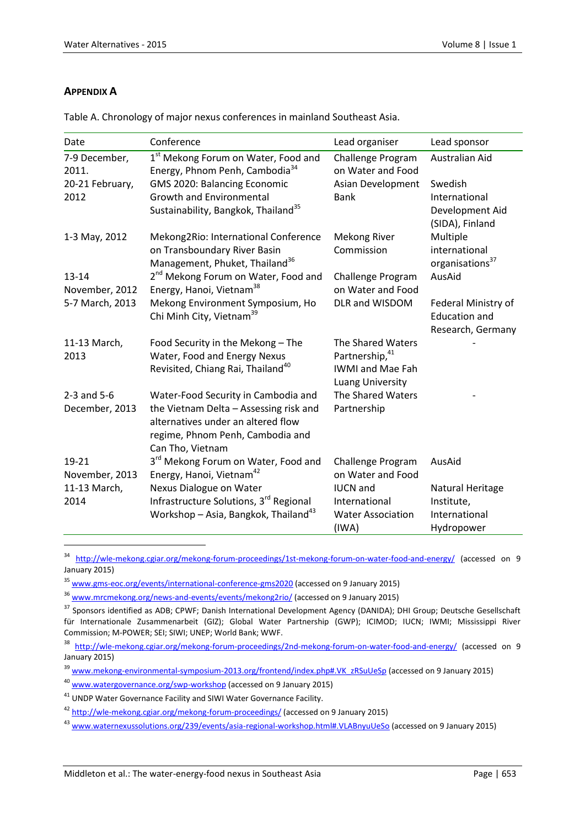### **APPENDIX A**

 $\overline{a}$ 

| Date                              | Conference                                                                        | Lead organiser                                     | Lead sponsor                       |
|-----------------------------------|-----------------------------------------------------------------------------------|----------------------------------------------------|------------------------------------|
| 7-9 December,<br>2011.            | 1st Mekong Forum on Water, Food and<br>Energy, Phnom Penh, Cambodia <sup>34</sup> | Challenge Program<br>on Water and Food             | Australian Aid                     |
| 20-21 February,                   | GMS 2020: Balancing Economic                                                      | Asian Development                                  | Swedish                            |
| 2012                              | <b>Growth and Environmental</b>                                                   | <b>Bank</b>                                        | International                      |
|                                   | Sustainability, Bangkok, Thailand <sup>35</sup>                                   |                                                    | Development Aid<br>(SIDA), Finland |
| 1-3 May, 2012                     | Mekong2Rio: International Conference                                              | Mekong River                                       | Multiple                           |
|                                   | on Transboundary River Basin                                                      | Commission                                         | international                      |
|                                   | Management, Phuket, Thailand <sup>36</sup>                                        |                                                    | organisations <sup>37</sup>        |
| 13-14                             | 2 <sup>nd</sup> Mekong Forum on Water, Food and                                   | Challenge Program                                  | AusAid                             |
| November, 2012<br>5-7 March, 2013 | Energy, Hanoi, Vietnam <sup>38</sup><br>Mekong Environment Symposium, Ho          | on Water and Food<br>DLR and WISDOM                | Federal Ministry of                |
|                                   | Chi Minh City, Vietnam <sup>39</sup>                                              |                                                    | <b>Education and</b>               |
|                                   |                                                                                   |                                                    | Research, Germany                  |
| 11-13 March,                      | Food Security in the Mekong - The                                                 | The Shared Waters                                  |                                    |
| 2013                              | Water, Food and Energy Nexus                                                      | Partnership, 41                                    |                                    |
|                                   | Revisited, Chiang Rai, Thailand <sup>40</sup>                                     | <b>IWMI and Mae Fah</b><br><b>Luang University</b> |                                    |
| $2-3$ and $5-6$                   | Water-Food Security in Cambodia and                                               | The Shared Waters                                  |                                    |
| December, 2013                    | the Vietnam Delta - Assessing risk and                                            | Partnership                                        |                                    |
|                                   | alternatives under an altered flow                                                |                                                    |                                    |
|                                   | regime, Phnom Penh, Cambodia and<br>Can Tho, Vietnam                              |                                                    |                                    |
| 19-21                             | 3 <sup>rd</sup> Mekong Forum on Water, Food and                                   | Challenge Program                                  | AusAid                             |
| November, 2013                    | Energy, Hanoi, Vietnam <sup>42</sup>                                              | on Water and Food                                  |                                    |
| 11-13 March,                      | Nexus Dialogue on Water                                                           | <b>IUCN</b> and                                    | Natural Heritage                   |
| 2014                              | Infrastructure Solutions, 3rd Regional                                            | International                                      | Institute,                         |
|                                   | Workshop - Asia, Bangkok, Thailand <sup>43</sup>                                  | <b>Water Association</b>                           | International                      |
|                                   |                                                                                   | (IWA)                                              | Hydropower                         |

Table A. Chronology of major nexus conferences in mainland Southeast Asia.

<sup>34</sup> <http://wle-mekong.cgiar.org/mekong-forum-proceedings/1st-mekong-forum-on-water-food-and-energy/> (accessed on 9 January 2015)

<sup>&</sup>lt;sup>35</sup> [www.gms-eoc.org/events/international-conference-gms2020](http://www.gms-eoc.org/events/international-conference-gms2020) (accessed on 9 January 2015)

<sup>&</sup>lt;sup>36</sup> [www.mrcmekong.org/news-and-events/events/mekong2rio/](http://www.mrcmekong.org/news-and-events/events/mekong2rio/) (accessed on 9 January 2015)

<sup>37</sup> Sponsors identified as ADB; CPWF; Danish International Development Agency (DANIDA); DHI Group; Deutsche Gesellschaft für Internationale Zusammenarbeit (GIZ); Global Water Partnership (GWP); ICIMOD; IUCN; IWMI; Mississippi River Commission; M-POWER; SEI; SIWI; UNEP; World Bank; WWF.

<sup>&</sup>lt;sup>38</sup> <http://wle-mekong.cgiar.org/mekong-forum-proceedings/2nd-mekong-forum-on-water-food-and-energy/> (accessed on 9 January 2015)

<sup>&</sup>lt;sup>39</sup> [www.mekong-environmental-symposium-2013.org/frontend/index.php#.VK\\_zRSuUeSp](http://www.mekong-environmental-symposium-2013.org/frontend/index.php#.VK_zRSuUeSp) (accessed on 9 January 2015)

<sup>40</sup> [www.watergovernance.org/swp-workshop](http://www.watergovernance.org/swp-workshop) (accessed on 9 January 2015)

<sup>&</sup>lt;sup>41</sup> UNDP Water Governance Facility and SIWI Water Governance Facility.

<sup>42</sup> <http://wle-mekong.cgiar.org/mekong-forum-proceedings/> (accessed on 9 January 2015)

<sup>&</sup>lt;sup>43</sup> [www.waternexussolutions.org/239/events/asia-regional-workshop.html#.VLABnyuUeSo](http://www.waternexussolutions.org/239/events/asia-regional-workshop.html#.VLABnyuUeSo) (accessed on 9 January 2015)